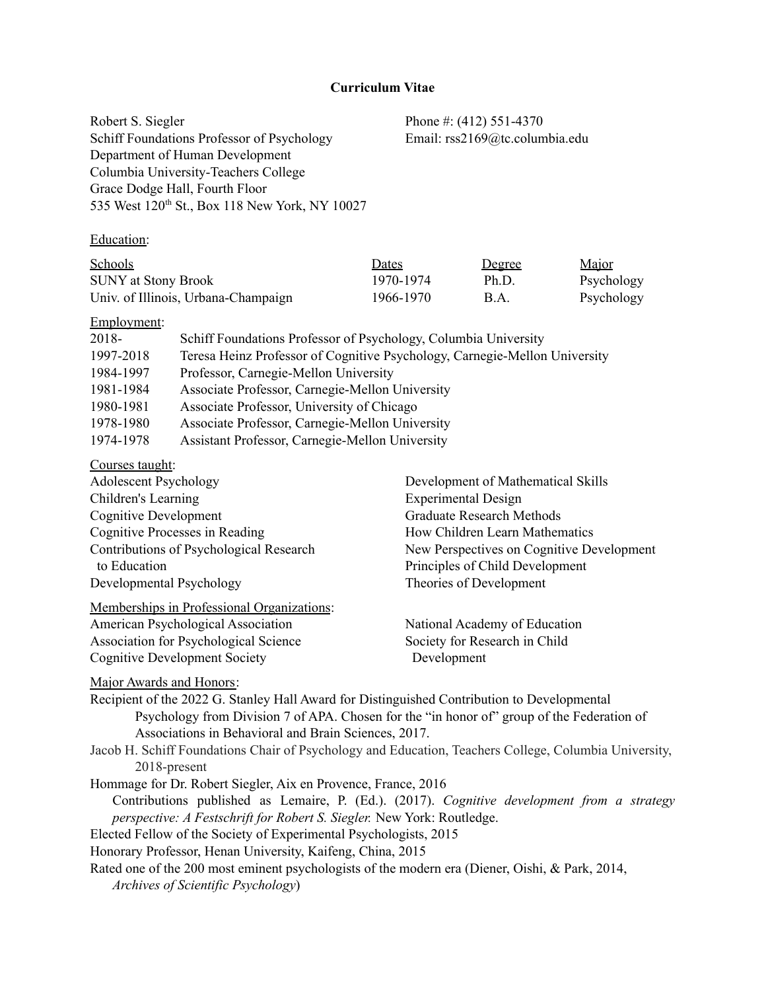# **Curriculum Vitae**

Robert S. Siegler Phone #: (412) 551-4370 Schiff Foundations Professor of Psychology Email: rss2169@tc.columbia.edu Department of Human Development Columbia University-Teachers College Grace Dodge Hall, Fourth Floor 535 West 120<sup>th</sup> St., Box 118 New York, NY 10027

# Education:

| Schools                             | Dates     | <u>Degree</u>             | Major      |
|-------------------------------------|-----------|---------------------------|------------|
| <b>SUNY</b> at Stony Brook          | 1970-1974 | Ph.D                      | Psychology |
| Univ. of Illinois, Urbana-Champaign | 1966-1970 | $\mathbf{B} \mathbf{A}$ . | Psychology |

# Employment:

| 2018-     | Schiff Foundations Professor of Psychology, Columbia University            |
|-----------|----------------------------------------------------------------------------|
| 1997-2018 | Teresa Heinz Professor of Cognitive Psychology, Carnegie-Mellon University |
| 1984-1997 | Professor, Carnegie-Mellon University                                      |
| 1981-1984 | Associate Professor, Carnegie-Mellon University                            |
| 1980-1981 | Associate Professor, University of Chicago                                 |
| 1978-1980 | Associate Professor, Carnegie-Mellon University                            |
| 1974-1978 | Assistant Professor, Carnegie-Mellon University                            |

## Courses taught:

| <b>Adolescent Psychology</b>               | Development of Mathematical Skills        |
|--------------------------------------------|-------------------------------------------|
| Children's Learning                        | <b>Experimental Design</b>                |
| Cognitive Development                      | <b>Graduate Research Methods</b>          |
| Cognitive Processes in Reading             | How Children Learn Mathematics            |
| Contributions of Psychological Research    | New Perspectives on Cognitive Development |
| to Education                               | Principles of Child Development           |
| Developmental Psychology                   | Theories of Development                   |
| Memberships in Professional Organizations: |                                           |
| American Psychological Association         | National Academy of Education             |
| Association for Psychological Science      | Society for Research in Child             |
| <b>Cognitive Development Society</b>       | Development                               |

Major Awards and Honors:

Recipient of the 2022 G. Stanley Hall Award for Distinguished Contribution to Developmental Psychology from Division 7 of APA. Chosen for the "in honor of" group of the Federation of Associations in Behavioral and Brain Sciences, 2017.

Jacob H. Schiff Foundations Chair of Psychology and Education, Teachers College, Columbia University, 2018-present

Hommage for Dr. Robert Siegler, Aix en Provence, France, 2016 Contributions published as Lemaire, P. (Ed.). (2017). *Cognitive development from a strategy perspective: A Festschrift for Robert S. Siegler.* New York: Routledge. Elected Fellow of the Society of Experimental Psychologists, 2015

Honorary Professor, Henan University, Kaifeng, China, 2015

Rated one of the 200 most eminent psychologists of the modern era (Diener, Oishi, & Park, 2014,

*Archives of Scientific Psychology*)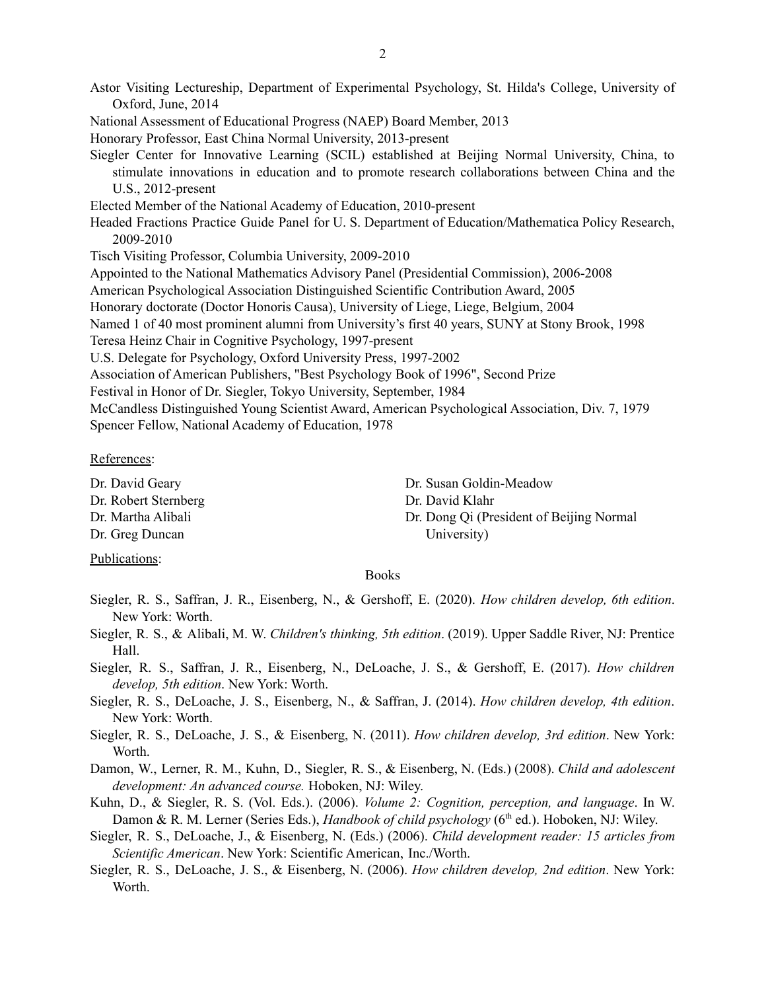Astor Visiting Lectureship, Department of Experimental Psychology, St. Hilda's College, University of Oxford, June, 2014 National Assessment of Educational Progress (NAEP) Board Member, 2013 Honorary Professor, East China Normal University, 2013-present Siegler Center for Innovative Learning (SCIL) established at Beijing Normal University, China, to stimulate innovations in education and to promote research collaborations between China and the U.S., 2012-present Elected Member of the National Academy of Education, 2010-present Headed Fractions Practice Guide Panel for U. S. Department of Education/Mathematica Policy Research, 2009-2010 Tisch Visiting Professor, Columbia University, 2009-2010 Appointed to the National Mathematics Advisory Panel (Presidential Commission), 2006-2008 American Psychological Association Distinguished Scientific Contribution Award, 2005 Honorary doctorate (Doctor Honoris Causa), University of Liege, Liege, Belgium, 2004 Named 1 of 40 most prominent alumni from University's first 40 years, SUNY at Stony Brook, 1998 Teresa Heinz Chair in Cognitive Psychology, 1997-present U.S. Delegate for Psychology, Oxford University Press, 1997-2002 Association of American Publishers, "Best Psychology Book of 1996", Second Prize Festival in Honor of Dr. Siegler, Tokyo University, September, 1984 McCandless Distinguished Young Scientist Award, American Psychological Association, Div. 7, 1979 Spencer Fellow, National Academy of Education, 1978

### References:

Dr. David Geary Dr. Susan Goldin-Meadow Dr. Robert Sternberg Dr. David Klahr Dr. Greg Duncan University)

Dr. Martha Alibali Dr. Dong Qi (President of Beijing Normal

# Publications:

# Books

- Siegler, R. S., Saffran, J. R., Eisenberg, N., & Gershoff, E. (2020). *How children develop, 6th edition*. New York: Worth.
- Siegler, R. S., & Alibali, M. W. *Children's thinking, 5th edition*. (2019). Upper Saddle River, NJ: Prentice Hall.
- Siegler, R. S., Saffran, J. R., Eisenberg, N., DeLoache, J. S., & Gershoff, E. (2017). *How children develop, 5th edition*. New York: Worth.
- Siegler, R. S., DeLoache, J. S., Eisenberg, N., & Saffran, J. (2014). *How children develop, 4th edition*. New York: Worth.
- Siegler, R. S., DeLoache, J. S., & Eisenberg, N. (2011). *How children develop, 3rd edition*. New York: Worth.
- Damon, W., Lerner, R. M., Kuhn, D., Siegler, R. S., & Eisenberg, N. (Eds.) (2008). *Child and adolescent development: An advanced course.* Hoboken, NJ: Wiley.
- Kuhn, D., & Siegler, R. S. (Vol. Eds.). (2006). *Volume 2: Cognition, perception, and language*. In W. Damon & R. M. Lerner (Series Eds.), *Handbook of child psychology* (6 th ed.). Hoboken, NJ: Wiley.
- Siegler, R. S., DeLoache, J., & Eisenberg, N. (Eds.) (2006). *Child development reader: 15 articles from Scientific American*. New York: Scientific American, Inc./Worth.
- Siegler, R. S., DeLoache, J. S., & Eisenberg, N. (2006). *How children develop, 2nd edition*. New York: Worth.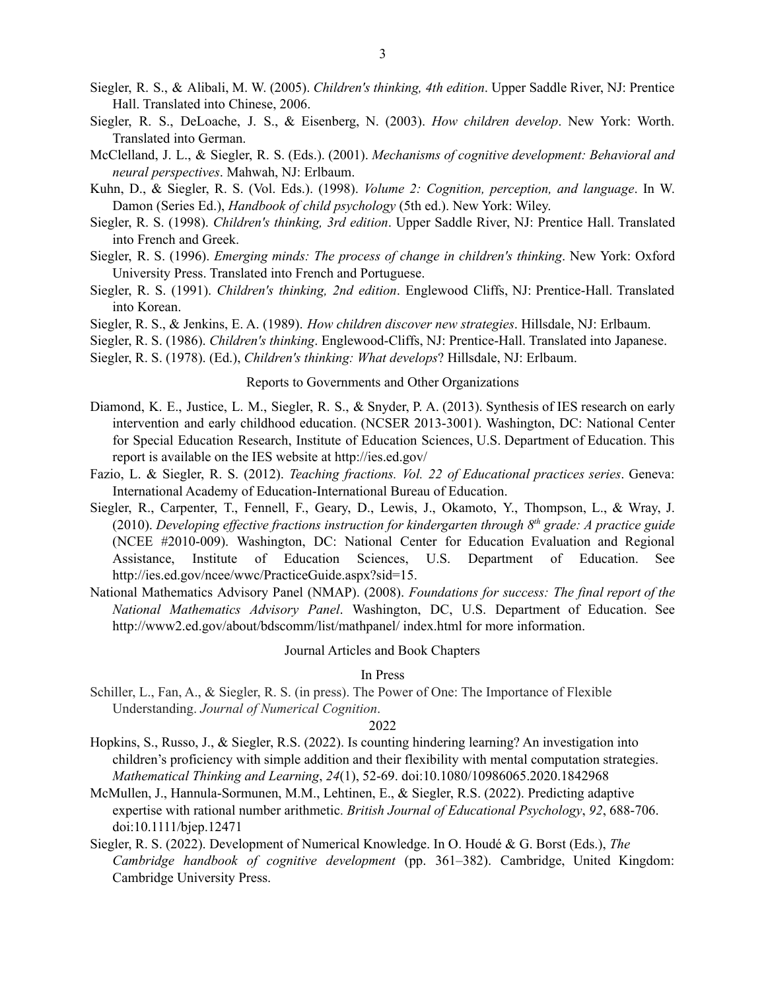- Siegler, R. S., & Alibali, M. W. (2005). *Children's thinking, 4th edition*. Upper Saddle River, NJ: Prentice Hall. Translated into Chinese, 2006.
- Siegler, R. S., DeLoache, J. S., & Eisenberg, N. (2003). *How children develop*. New York: Worth. Translated into German.
- McClelland, J. L., & Siegler, R. S. (Eds.). (2001). *Mechanisms of cognitive development: Behavioral and neural perspectives*. Mahwah, NJ: Erlbaum.
- Kuhn, D., & Siegler, R. S. (Vol. Eds.). (1998). *Volume 2: Cognition, perception, and language*. In W. Damon (Series Ed.), *Handbook of child psychology* (5th ed.). New York: Wiley.
- Siegler, R. S. (1998). *Children's thinking, 3rd edition*. Upper Saddle River, NJ: Prentice Hall. Translated into French and Greek.
- Siegler, R. S. (1996). *Emerging minds: The process of change in children's thinking*. New York: Oxford University Press. Translated into French and Portuguese.
- Siegler, R. S. (1991). *Children's thinking, 2nd edition*. Englewood Cliffs, NJ: Prentice-Hall. Translated into Korean.
- Siegler, R. S., & Jenkins, E. A. (1989). *How children discover new strategies*. Hillsdale, NJ: Erlbaum.
- Siegler, R. S. (1986). *Children's thinking*. Englewood-Cliffs, NJ: Prentice-Hall. Translated into Japanese.
- Siegler, R. S. (1978). (Ed.), *Children's thinking: What develops*? Hillsdale, NJ: Erlbaum.

# Reports to Governments and Other Organizations

- Diamond, K. E., Justice, L. M., Siegler, R. S., & Snyder, P. A. (2013). Synthesis of IES research on early intervention and early childhood education. (NCSER 2013-3001). Washington, DC: National Center for Special Education Research, Institute of Education Sciences, U.S. Department of Education. This report is available on the IES website at http://ies.ed.gov/
- Fazio, L. & Siegler, R. S. (2012). *Teaching fractions. Vol. 22 of Educational practices series*. Geneva: International Academy of Education-International Bureau of Education.
- Siegler, R., Carpenter, T., Fennell, F., Geary, D., Lewis, J., Okamoto, Y., Thompson, L., & Wray, J. (2010). *Developing ef ective fractions instruction for kindergarten through 8 th grade: A practice guide* (NCEE #2010-009). Washington, DC: National Center for Education Evaluation and Regional Assistance, Institute of Education Sciences, U.S. Department of Education. See http://ies.ed.gov/ncee/wwc/PracticeGuide.aspx?sid=15.
- National Mathematics Advisory Panel (NMAP). (2008). *Foundations for success: The final report of the National Mathematics Advisory Panel*. Washington, DC, U.S. Department of Education. See http://www2.ed.gov/about/bdscomm/list/mathpanel/ index.html for more information.

Journal Articles and Book Chapters

In Press

Schiller, L., Fan, A., & Siegler, R. S. (in press). The Power of One: The Importance of Flexible Understanding. *Journal of Numerical Cognition*.

- Hopkins, S., Russo, J., & Siegler, R.S. (2022). Is counting hindering learning? An investigation into children's proficiency with simple addition and their flexibility with mental computation strategies. *Mathematical Thinking and Learning*, *24*(1), 52-69. doi:10.1080/10986065.2020.1842968
- McMullen, J., Hannula-Sormunen, M.M., Lehtinen, E., & Siegler, R.S. (2022). Predicting adaptive expertise with rational number arithmetic. *British Journal of Educational Psychology*, *92*, 688-706. doi:10.1111/bjep.12471
- Siegler, R. S. (2022). Development of Numerical Knowledge. In O. Houdé & G. Borst (Eds.), *The Cambridge handbook of cognitive development* (pp. 361–382). Cambridge, United Kingdom: Cambridge University Press.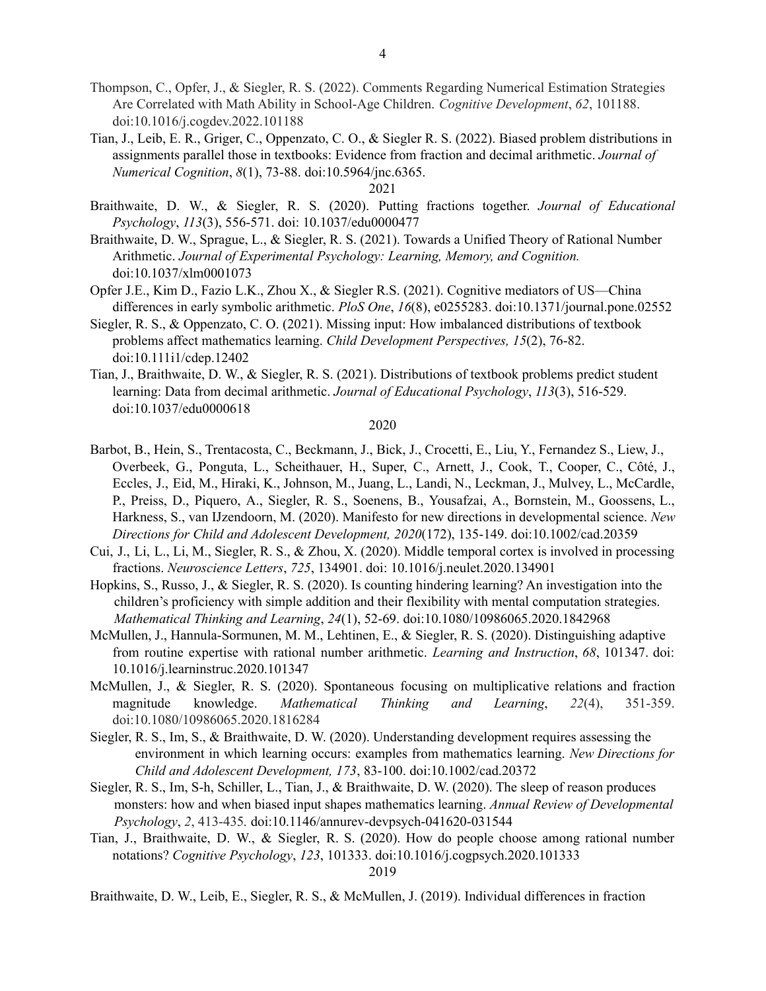- Thompson, C., Opfer, J., & Siegler, R. S. (2022). Comments Regarding Numerical Estimation Strategies Are Correlated with Math Ability in School-Age Children. *Cognitive Development*, *62*, 101188. doi:10.1016/j.cogdev.2022.101188
- Tian, J., Leib, E. R., Griger, C., Oppenzato, C. O., & Siegler R. S. (2022). Biased problem distributions in assignments parallel those in textbooks: Evidence from fraction and decimal arithmetic. *Journal of Numerical Cognition*, *8*(1), 73-88. doi:10.5964/jnc.6365.

- Braithwaite, D. W., & Siegler, R. S. (2020). Putting fractions together. *Journal of Educational Psychology*, *113*(3), 556-571. doi: 10.1037/edu0000477
- Braithwaite, D. W., Sprague, L., & Siegler, R. S. (2021). Towards a Unified Theory of Rational Number Arithmetic. *Journal of Experimental Psychology: Learning, Memory, and Cognition.* doi:10.1037/xlm0001073
- Opfer J.E., Kim D., Fazio L.K., Zhou X., & Siegler R.S. (2021). Cognitive mediators of US—China differences in early symbolic arithmetic. *PloS One*, *16*(8), e0255283. doi:10.1371/journal.pone.02552
- Siegler, R. S., & Oppenzato, C. O. (2021). Missing input: How imbalanced distributions of textbook problems affect mathematics learning. *Child Development Perspectives, 15*(2), 76-82. doi:10.111i1/cdep.12402
- Tian, J., Braithwaite, D. W., & Siegler, R. S. (2021). Distributions of textbook problems predict student learning: Data from decimal arithmetic. *Journal of Educational Psychology*, *113*(3), 516-529. doi:10.1037/edu0000618

#### 2020

- Barbot, B., Hein, S., Trentacosta, C., Beckmann, J., Bick, J., Crocetti, E., Liu, Y., Fernandez S., Liew, J., Overbeek, G., Ponguta, L., Scheithauer, H., Super, C., Arnett, J., Cook, T., Cooper, C., Côté, J., Eccles, J., Eid, M., Hiraki, K., Johnson, M., Juang, L., Landi, N., Leckman, J., Mulvey, L., McCardle, P., Preiss, D., Piquero, A., Siegler, R. S., Soenens, B., Yousafzai, A., Bornstein, M., Goossens, L., Harkness, S., van IJzendoorn, M. (2020). Manifesto for new directions in developmental science. *New Directions for Child and Adolescent Development, 2020*(172), 135-149. doi:10.1002/cad.20359
- Cui, J., Li, L., Li, M., Siegler, R. S., & Zhou, X. (2020). Middle temporal cortex is involved in processing fractions. *Neuroscience Letters*, *725*, 134901. doi: 10.1016/j.neulet.2020.134901
- Hopkins, S., Russo, J., & Siegler, R. S. (2020). Is counting hindering learning? An investigation into the children's proficiency with simple addition and their flexibility with mental computation strategies. *Mathematical Thinking and Learning*, *24*(1), 52-69. doi:10.1080/10986065.2020.1842968
- McMullen, J., Hannula-Sormunen, M. M., Lehtinen, E., & Siegler, R. S. (2020). Distinguishing adaptive from routine expertise with rational number arithmetic. *Learning and Instruction*, *68*, 101347. doi: 10.1016/j.learninstruc.2020.101347
- McMullen, J., & Siegler, R. S. (2020). Spontaneous focusing on multiplicative relations and fraction magnitude knowledge. *Mathematical Thinking and Learning*, *22*(4), 351-359. doi:10.1080/10986065.2020.1816284
- Siegler, R. S., Im, S., & Braithwaite, D. W. (2020). Understanding development requires assessing the environment in which learning occurs: examples from mathematics learning. *New Directions for Child and Adolescent Development, 173*, 83-100. doi:10.1002/cad.20372
- Siegler, R. S., Im, S-h, Schiller, L., Tian, J., & Braithwaite, D. W. (2020). The sleep of reason produces monsters: how and when biased input shapes mathematics learning. *Annual Review of Developmental Psychology*, *2*, 413-435*.* doi:[10.1146/annurev-devpsych-041620-031544](https://doi.org/10.1146/annurev-devpsych-041620-031544)
- Tian, J., Braithwaite, D. W., & Siegler, R. S. (2020). How do people choose among rational number notations? *Cognitive Psychology*, *123*, 101333. doi:10.1016/j.cogpsych.2020.101333 2019

Braithwaite, D. W., Leib, E., Siegler, R. S., & McMullen, J. (2019). Individual differences in fraction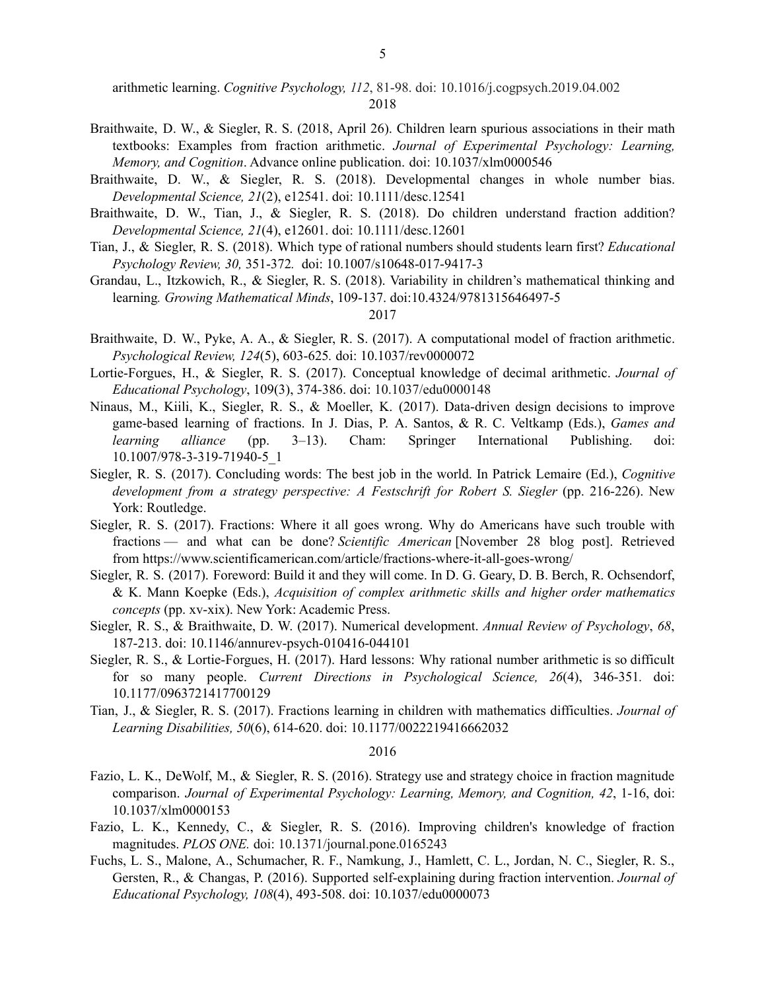arithmetic learning. *Cognitive Psychology, 112*, 81-98. doi: 10.1016/j.cogpsych.2019.04.002 2018

- Braithwaite, D. W., & Siegler, R. S. (2018, April 26). Children learn spurious associations in their math textbooks: Examples from fraction arithmetic. *Journal of Experimental Psychology: Learning, Memory, and Cognition*. Advance online publication. doi: 10.1037/xlm0000546
- Braithwaite, D. W., & Siegler, R. S. (2018). Developmental changes in whole number bias. *Developmental Science, 21*(2), e12541. doi: 10.1111/desc.12541
- Braithwaite, D. W., Tian, J., & Siegler, R. S. (2018). Do children understand fraction addition? *Developmental Science, 21*(4), e12601. doi: 10.1111/desc.12601
- Tian, J., & Siegler, R. S. (2018). Which type of rational numbers should students learn first? *Educational Psychology Review, 30,* 351-372*.* doi: 10.1007/s10648-017-9417-3
- Grandau, L., Itzkowich, R., & Siegler, R. S. (2018). Variability in children's mathematical thinking and learning*. Growing Mathematical Minds*, 109-137. doi:10.4324/9781315646497-5

## 2017

- Braithwaite, D. W., Pyke, A. A., & Siegler, R. S. (2017). A computational model of fraction arithmetic. *Psychological Review, 124*(5), 603-625*.* doi: 10.1037/rev0000072
- Lortie-Forgues, H., & Siegler, R. S. (2017). Conceptual knowledge of decimal arithmetic. *Journal of Educational Psychology*, 109(3), 374-386. doi: 10.1037/edu0000148
- Ninaus, M., Kiili, K., Siegler, R. S., & Moeller, K. (2017). Data-driven design decisions to improve game-based learning of fractions. In J. Dias, P. A. Santos, & R. C. Veltkamp (Eds.), *Games and learning alliance* (pp. 3–13). Cham: Springer International Publishing. doi: 10.1007/978-3-319-71940-5\_1
- Siegler, R. S. (2017). Concluding words: The best job in the world. In Patrick Lemaire (Ed.), *Cognitive development from a strategy perspective: A Festschrift for Robert S. Siegler* (pp. 216-226). New York: Routledge.
- Siegler, R. S. (2017). Fractions: Where it all goes wrong. Why do Americans have such trouble with fractions — and what can be done? *Scientific American* [November 28 blog post]. Retrieved from https://www.scientificamerican.com/article/fractions-where-it-all-goes-wrong/
- Siegler, R. S. (2017). Foreword: Build it and they will come. In D. G. Geary, D. B. Berch, R. Ochsendorf, & K. Mann Koepke (Eds.), *Acquisition of complex arithmetic skills and higher order mathematics concepts* (pp. xv-xix). New York: Academic Press.
- Siegler, R. S., & Braithwaite, D. W. (2017). Numerical development. *Annual Review of Psychology*, *68*, 187-213. doi: 10.1146/annurev-psych-010416-044101
- Siegler, R. S., & Lortie-Forgues, H. (2017). Hard lessons: Why rational number arithmetic is so difficult for so many people. *Current Directions in Psychological Science, 26*(4), 346-351*.* doi: 10.1177/0963721417700129
- Tian, J., & Siegler, R. S. (2017). Fractions learning in children with mathematics difficulties. *Journal of Learning Disabilities, 50*(6), 614-620. doi: 10.1177/0022219416662032

- Fazio, L. K., DeWolf, M., & Siegler, R. S. (2016). Strategy use and strategy choice in fraction magnitude comparison. *Journal of Experimental Psychology: Learning, Memory, and Cognition, 42*, 1-16, doi: 10.1037/xlm0000153
- Fazio, L. K., Kennedy, C., & Siegler, R. S. (2016). Improving children's knowledge of fraction magnitudes. *PLOS ONE.* doi: 10.1371/journal.pone.0165243
- Fuchs, L. S., Malone, A., Schumacher, R. F., Namkung, J., Hamlett, C. L., Jordan, N. C., Siegler, R. S., Gersten, R., & Changas, P. (2016). Supported self-explaining during fraction intervention. *Journal of Educational Psychology, 108*(4), 493-508. doi: 10.1037/edu0000073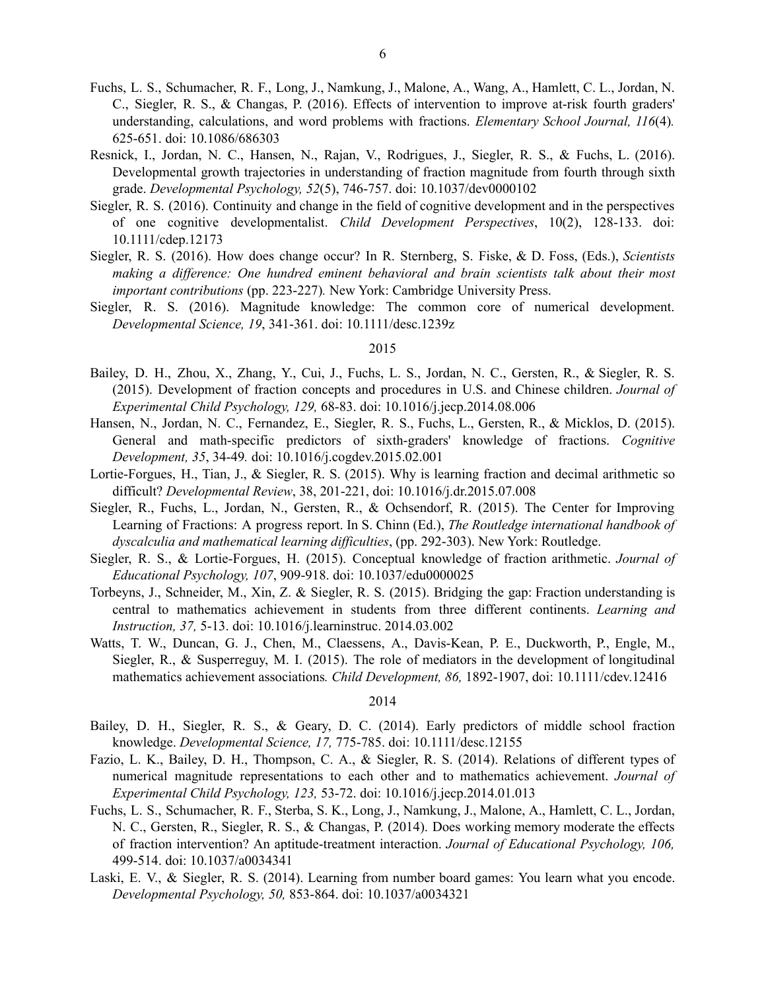- Fuchs, L. S., Schumacher, R. F., Long, J., Namkung, J., Malone, A., Wang, A., Hamlett, C. L., Jordan, N. C., Siegler, R. S., & Changas, P. (2016). Effects of intervention to improve at-risk fourth graders' understanding, calculations, and word problems with fractions. *Elementary School Journal, 116*(4)*.* 625-651. doi: 10.1086/686303
- Resnick, I., Jordan, N. C., Hansen, N., Rajan, V., Rodrigues, J., Siegler, R. S., & Fuchs, L. (2016). Developmental growth trajectories in understanding of fraction magnitude from fourth through sixth grade. *Developmental Psychology, 52*(5), 746-757. doi: 10.1037/dev0000102
- Siegler, R. S. (2016). Continuity and change in the field of cognitive development and in the perspectives of one cognitive developmentalist. *Child Development Perspectives*, 10(2), 128-133. doi: 10.1111/cdep.12173
- Siegler, R. S. (2016). How does change occur? In R. Sternberg, S. Fiske, & D. Foss, (Eds.), *Scientists making a dif erence: One hundred eminent behavioral and brain scientists talk about their most important contributions* (pp. 223-227)*.* New York: Cambridge University Press.
- Siegler, R. S. (2016). Magnitude knowledge: The common core of numerical development. *Developmental Science, 19*, 341-361. doi: 10.1111/desc.1239z

- Bailey, D. H., Zhou, X., Zhang, Y., Cui, J., Fuchs, L. S., Jordan, N. C., Gersten, R., & Siegler, R. S. (2015). Development of fraction concepts and procedures in U.S. and Chinese children. *Journal of Experimental Child Psychology, 129,* 68-83. doi: 10.1016/j.jecp.2014.08.006
- Hansen, N., Jordan, N. C., Fernandez, E., Siegler, R. S., Fuchs, L., Gersten, R., & Micklos, D. (2015). General and math-specific predictors of sixth-graders' knowledge of fractions. *Cognitive Development, 35*, 34-49*.* doi: 10.1016/j.cogdev.2015.02.001
- Lortie-Forgues, H., Tian, J., & Siegler, R. S. (2015). Why is learning fraction and decimal arithmetic so difficult? *Developmental Review*, 38, 201-221, doi: 10.1016/j.dr.2015.07.008
- Siegler, R., Fuchs, L., Jordan, N., Gersten, R., & Ochsendorf, R. (2015). The Center for Improving Learning of Fractions: A progress report. In S. Chinn (Ed.), *The Routledge international handbook of dyscalculia and mathematical learning dif iculties*, (pp. 292-303). New York: Routledge.
- Siegler, R. S., & Lortie-Forgues, H. (2015). Conceptual knowledge of fraction arithmetic. *Journal of Educational Psychology, 107*, 909-918. doi: 10.1037/edu0000025
- Torbeyns, J., Schneider, M., Xin, Z. & Siegler, R. S. (2015). Bridging the gap: Fraction understanding is central to mathematics achievement in students from three different continents. *Learning and Instruction, 37,* 5-13. doi: 10.1016/j.learninstruc. 2014.03.002
- Watts, T. W., Duncan, G. J., Chen, M., Claessens, A., Davis-Kean, P. E., Duckworth, P., Engle, M., Siegler, R., & Susperreguy, M. I. (2015). The role of mediators in the development of longitudinal mathematics achievement associations*. Child Development, 86,* 1892-1907, doi: 10.1111/cdev.12416

- Bailey, D. H., Siegler, R. S., & Geary, D. C. (2014). Early predictors of middle school fraction knowledge. *Developmental Science, 17,* 775-785. doi: 10.1111/desc.12155
- Fazio, L. K., Bailey, D. H., Thompson, C. A., & Siegler, R. S. (2014). Relations of different types of numerical magnitude representations to each other and to mathematics achievement. *Journal of Experimental Child Psychology, 123,* 53-72. doi: 10.1016/j.jecp.2014.01.013
- Fuchs, L. S., Schumacher, R. F., Sterba, S. K., Long, J., Namkung, J., Malone, A., Hamlett, C. L., Jordan, N. C., Gersten, R., Siegler, R. S., & Changas, P. (2014). Does working memory moderate the effects of fraction intervention? An aptitude-treatment interaction. *Journal of Educational Psychology, 106,* 499-514. doi: 10.1037/a0034341
- Laski, E. V., & Siegler, R. S. (2014). Learning from number board games: You learn what you encode. *Developmental Psychology, 50,* 853-864. doi: [10.1037/a0034321](http://psycnet.apa.org/doi/10.1037/a0034321)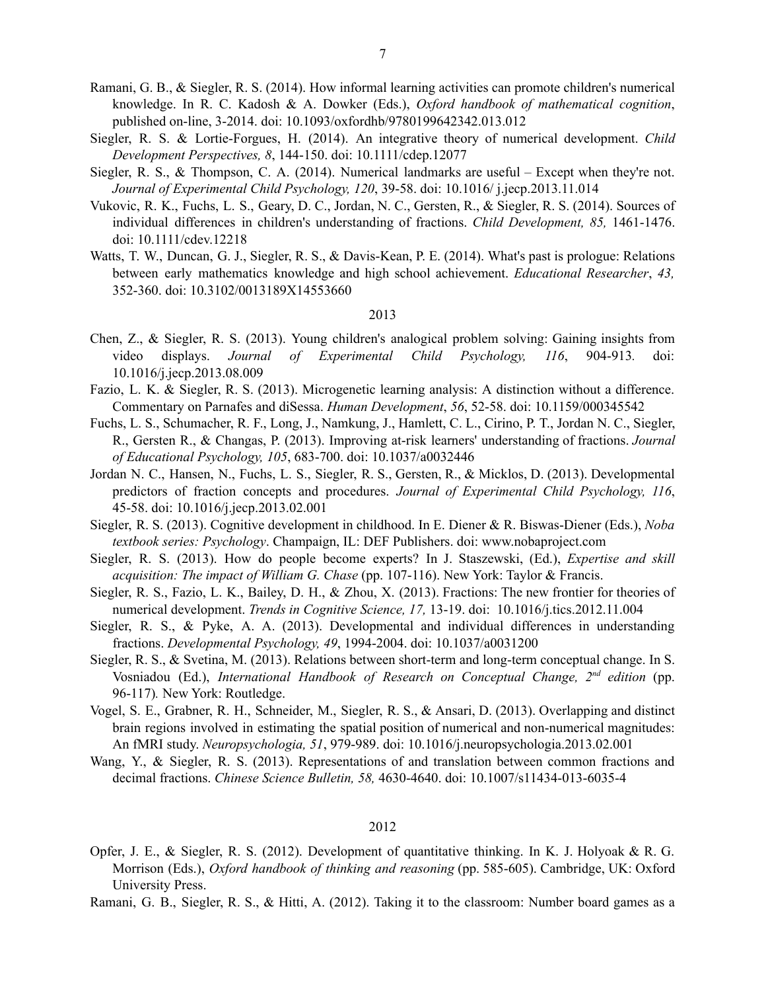Ramani, G. B., & Siegler, R. S. (2014). How informal learning activities can promote children's numerical knowledge. In R. C. Kadosh & A. Dowker (Eds.), *Oxford handbook of mathematical cognition*, published on-line, 3-2014. doi: 10.1093/oxfordhb/9780199642342.013.012

7

- Siegler, R. S. & Lortie-Forgues, H. (2014). An integrative theory of numerical development. *Child Development Perspectives, 8*, 144-150. doi: 10.1111/cdep.12077
- Siegler, R. S., & Thompson, C. A. (2014). Numerical landmarks are useful Except when they're not. *Journal of Experimental Child Psychology, 120*, 39-58. doi: 10.1016/ j.jecp.2013.11.014
- Vukovic, R. K., Fuchs, L. S., Geary, D. C., Jordan, N. C., Gersten, R., & Siegler, R. S. (2014). Sources of individual differences in children's understanding of fractions. *Child Development, 85,* 1461-1476. doi: 10.1111/cdev.12218
- Watts, T. W., Duncan, G. J., Siegler, R. S., & Davis-Kean, P. E. (2014). What's past is prologue: Relations between early mathematics knowledge and high school achievement. *Educational Researcher*, *43,* 352-360. doi: 10.3102/0013189X14553660

### 2013

- Chen, Z., & Siegler, R. S. (2013). Young children's analogical problem solving: Gaining insights from video displays. *Journal of Experimental Child Psychology, 116*, 904-913*.* doi: 10.1016/j.jecp.2013.08.009
- Fazio, L. K. & Siegler, R. S. (2013). Microgenetic learning analysis: A distinction without a difference. Commentary on Parnafes and diSessa. *Human Development*, *56*, 52-58. doi: 10.1159/000345542
- Fuchs, L. S., Schumacher, R. F., Long, J., Namkung, J., Hamlett, C. L., Cirino, P. T., Jordan N. C., Siegler, R., Gersten R., & Changas, P. (2013). Improving at-risk learners' understanding of fractions. *Journal of Educational Psychology, 105*, 683-700. doi: 10.1037/a0032446
- Jordan N. C., Hansen, N., Fuchs, L. S., Siegler, R. S., Gersten, R., & Micklos, D. (2013). Developmental predictors of fraction concepts and procedures. *Journal of Experimental Child Psychology, 116*, 45-58. doi: 10.1016/j.jecp.2013.02.001
- Siegler, R. S. (2013). Cognitive development in childhood. In E. Diener & R. Biswas-Diener (Eds.), *Noba textbook series: Psychology*. Champaign, IL: DEF Publishers. doi: www.nobaproject.com
- Siegler, R. S. (2013). How do people become experts? In J. Staszewski, (Ed.), *Expertise and skill acquisition: The impact of William G. Chase* (pp. 107-116). New York: Taylor & Francis.
- Siegler, R. S., Fazio, L. K., Bailey, D. H., & Zhou, X. (2013). Fractions: The new frontier for theories of numerical development. *Trends in Cognitive Science, 17,* 13-19. doi: 10.1016/j.tics.2012.11.004
- Siegler, R. S., & Pyke, A. A. (2013). Developmental and individual differences in understanding fractions. *Developmental Psychology, 49*, 1994-2004. doi: [10.1037/a0031200](http://psycnet.apa.org/doi/10.1037/a0031200)
- Siegler, R. S., & Svetina, M. (2013). Relations between short-term and long-term conceptual change. In S. Vosniadou (Ed.), *International Handbook of Research on Conceptual Change, 2 nd edition* (pp. 96-117)*.* New York: Routledge.
- Vogel, S. E., Grabner, R. H., Schneider, M., Siegler, R. S., & Ansari, D. (2013). Overlapping and distinct brain regions involved in estimating the spatial position of numerical and non-numerical magnitudes: An fMRI study. *Neuropsychologia, 51*, 979-989. doi: 10.1016/j.neuropsychologia.2013.02.001
- Wang, Y., & Siegler, R. S. (2013). Representations of and translation between common fractions and decimal fractions. *Chinese Science Bulletin, 58,* 4630-4640. doi: 10.1007/s11434-013-6035-4

- Opfer, J. E., & Siegler, R. S. (2012). Development of quantitative thinking. In K. J. Holyoak & R. G. Morrison (Eds.), *Oxford handbook of thinking and reasoning* (pp. 585-605). Cambridge, UK: Oxford University Press.
- Ramani, G. B., Siegler, R. S., & Hitti, A. (2012). Taking it to the classroom: Number board games as a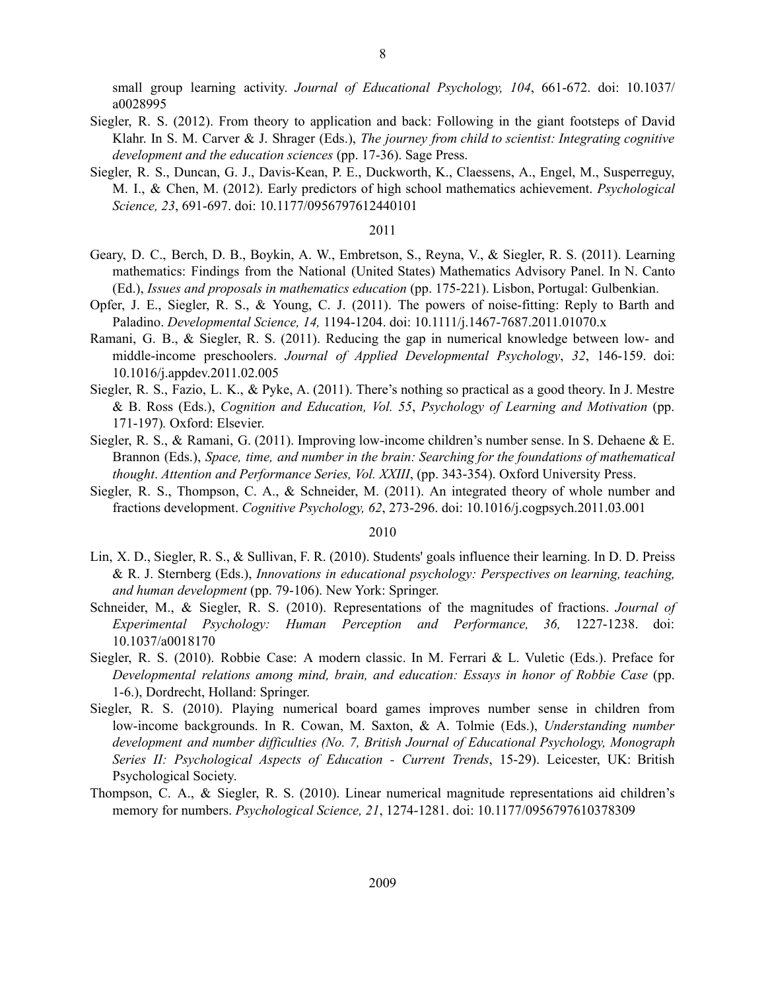small group learning activity. *Journal of Educational Psychology, 104*, 661-672. doi: 10.1037/ a0028995

- Siegler, R. S. (2012). From theory to application and back: Following in the giant footsteps of David Klahr. In S. M. Carver & J. Shrager (Eds.), *The journey from child to scientist: Integrating cognitive development and the education sciences* (pp. 17-36). Sage Press.
- Siegler, R. S., Duncan, G. J., Davis-Kean, P. E., Duckworth, K., Claessens, A., Engel, M., Susperreguy, M. I., & Chen, M. (2012). Early predictors of high school mathematics achievement. *Psychological Science, 23*, 691-697. doi: 10.1177/0956797612440101

### 2011

- Geary, D. C., Berch, D. B., Boykin, A. W., Embretson, S., Reyna, V., & Siegler, R. S. (2011). Learning mathematics: Findings from the National (United States) Mathematics Advisory Panel. In N. Canto (Ed.), *Issues and proposals in mathematics education* (pp. 175-221). Lisbon, Portugal: Gulbenkian.
- Opfer, J. E., Siegler, R. S., & Young, C. J. (2011). The powers of noise-fitting: Reply to Barth and Paladino. *Developmental Science, 14,* 1194-1204. doi: 10.1111/j.1467-7687.2011.01070.x
- Ramani, G. B., & Siegler, R. S. (2011). Reducing the gap in numerical knowledge between low- and middle-income preschoolers. *Journal of Applied Developmental Psychology*, *32*, 146-159. doi: 10.1016/j.appdev.2011.02.005
- Siegler, R. S., Fazio, L. K., & Pyke, A. (2011). There's nothing so practical as a good theory. In J. Mestre & B. Ross (Eds.), *Cognition and Education, Vol. 55*, *Psychology of Learning and Motivation* (pp. 171-197)*.* Oxford: Elsevier.
- Siegler, R. S., & Ramani, G. (2011). Improving low-income children's number sense. In S. Dehaene & E. Brannon (Eds.), *Space, time, and number in the brain: Searching for the foundations of mathematical thought*. *Attention and Performance Series, Vol. XXIII*, (pp. 343-354). Oxford University Press.
- Siegler, R. S., Thompson, C. A., & Schneider, M. (2011). An integrated theory of whole number and fractions development. *Cognitive Psychology, 62*, 273-296. doi: 10.1016/j.cogpsych.2011.03.001

- Lin, X. D., Siegler, R. S., & Sullivan, F. R. (2010). Students' goals influence their learning. In D. D. Preiss & R. J. Sternberg (Eds.), *Innovations in educational psychology: Perspectives on learning, teaching, and human development* (pp. 79-106). New York: Springer.
- Schneider, M., & Siegler, R. S. (2010). Representations of the magnitudes of fractions. *Journal of Experimental Psychology: Human Perception and Performance, 36,* 1227-1238. doi: 10.1037/a0018170
- Siegler, R. S. (2010). Robbie Case: A modern classic. In M. Ferrari & L. Vuletic (Eds.). Preface for *Developmental relations among mind, brain, and education: Essays in honor of Robbie Case* (pp. 1-6.), Dordrecht, Holland: Springer.
- Siegler, R. S. (2010). Playing numerical board games improves number sense in children from low-income backgrounds. In R. Cowan, M. Saxton, & A. Tolmie (Eds.), *Understanding number development and number dif iculties (No. 7, British Journal of Educational Psychology, Monograph Series II: Psychological Aspects of Education - Current Trends*, 15-29). Leicester, UK: British Psychological Society.
- Thompson, C. A., & Siegler, R. S. (2010). Linear numerical magnitude representations aid children's memory for numbers. *Psychological Science, 21*, 1274-1281. doi: 10.1177/0956797610378309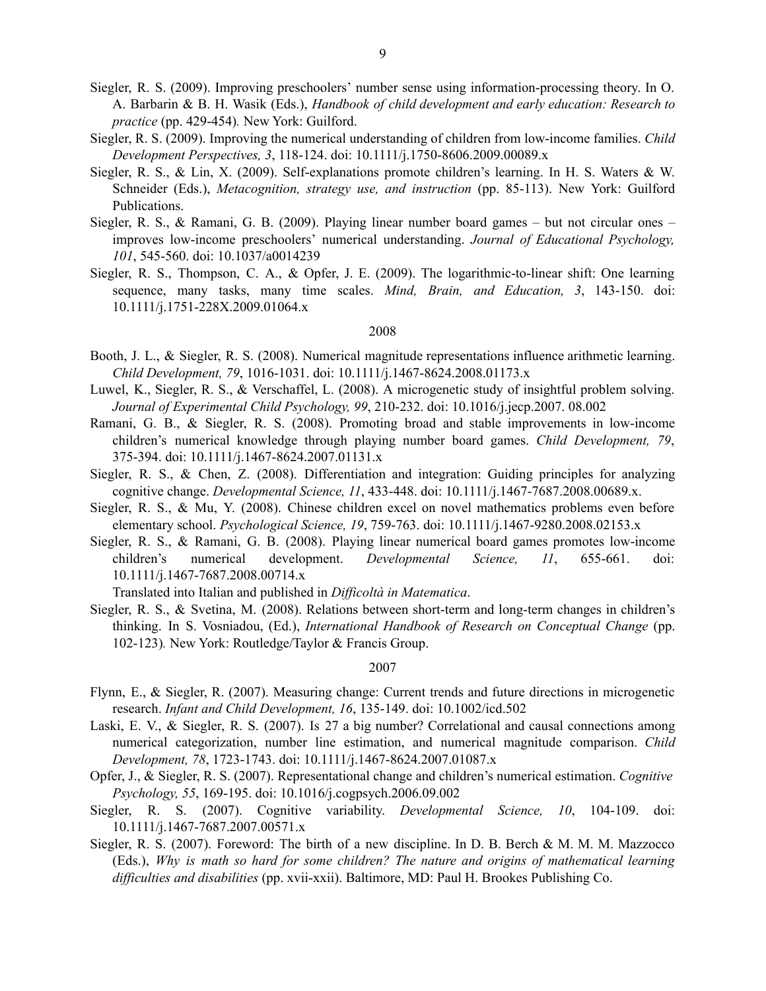- Siegler, R. S. (2009). Improving preschoolers' number sense using information-processing theory. In O. A. Barbarin & B. H. Wasik (Eds.), *Handbook of child development and early education: Research to practice* (pp. 429-454)*.* New York: Guilford.
- Siegler, R. S. (2009). Improving the numerical understanding of children from low-income families. *Child Development Perspectives, 3*, 118-124. doi: 10.1111/j.1750-8606.2009.00089.x
- Siegler, R. S., & Lin, X. (2009). Self-explanations promote children's learning. In H. S. Waters & W. Schneider (Eds.), *Metacognition, strategy use, and instruction* (pp. 85-113). New York: Guilford Publications.
- Siegler, R. S., & Ramani, G. B. (2009). Playing linear number board games but not circular ones improves low-income preschoolers' numerical understanding. *Journal of Educational Psychology, 101*, 545-560. doi: 10.1037/a0014239
- Siegler, R. S., Thompson, C. A., & Opfer, J. E. (2009). The logarithmic-to-linear shift: One learning sequence, many tasks, many time scales. *Mind, Brain, and Education, 3*, 143-150. doi: 10.1111/j.1751-228X.2009.01064.x

- Booth, J. L., & Siegler, R. S. (2008). Numerical magnitude representations influence arithmetic learning. *Child Development, 79*, 1016-1031. doi: 10.1111/j.1467-8624.2008.01173.x
- Luwel, K., Siegler, R. S., & Verschaffel, L. (2008). A microgenetic study of insightful problem solving. *Journal of Experimental Child Psychology, 99*, 210-232. doi: 10.1016/j.jecp.2007. 08.002
- Ramani, G. B., & Siegler, R. S. (2008). Promoting broad and stable improvements in low-income children's numerical knowledge through playing number board games. *Child Development, 79*, 375-394. doi: 10.1111/j.1467-8624.2007.01131.x
- Siegler, R. S., & Chen, Z. (2008). Differentiation and integration: Guiding principles for analyzing cognitive change. *Developmental Science, 11*, 433-448. doi: 10.1111/j.1467-7687.2008.00689.x.
- Siegler, R. S., & Mu, Y. (2008). Chinese children excel on novel mathematics problems even before elementary school. *Psychological Science, 19*, 759-763. doi: 10.1111/j.1467-9280.2008.02153.x
- Siegler, R. S., & Ramani, G. B. (2008). Playing linear numerical board games promotes low-income children's numerical development. *Developmental Science, 11*, 655-661. doi: 10.1111/j.1467-7687.2008.00714.x

Translated into Italian and published in *Dif icoltà in Matematica*.

Siegler, R. S., & Svetina, M. (2008). Relations between short-term and long-term changes in children's thinking. In S. Vosniadou, (Ed.), *International Handbook of Research on Conceptual Change* (pp. 102-123)*.* New York: Routledge/Taylor & Francis Group.

- Flynn, E., & Siegler, R. (2007). Measuring change: Current trends and future directions in microgenetic research. *Infant and Child Development, 16*, 135-149. doi: 10.1002/icd.502
- Laski, E. V., & Siegler, R. S. (2007). Is 27 a big number? Correlational and causal connections among numerical categorization, number line estimation, and numerical magnitude comparison. *Child Development, 78*, 1723-1743. doi: 10.1111/j.1467-8624.2007.01087.x
- Opfer, J., & Siegler, R. S. (2007). Representational change and children's numerical estimation. *Cognitive Psychology, 55*, 169-195. doi: [10.1016/j.cogpsych.2006.09.002](http://dx.doi.org/10.1016/j.cogpsych.2006.09.002)
- Siegler, R. S. (2007). Cognitive variability. *Developmental Science, 10*, 104-109. doi: 10.1111/j.1467-7687.2007.00571.x
- Siegler, R. S. (2007). Foreword: The birth of a new discipline. In D. B. Berch & M. M. M. Mazzocco (Eds.), *Why is math so hard for some children? The nature and origins of mathematical learning dif iculties and disabilities* (pp. xvii-xxii). Baltimore, MD: Paul H. Brookes Publishing Co.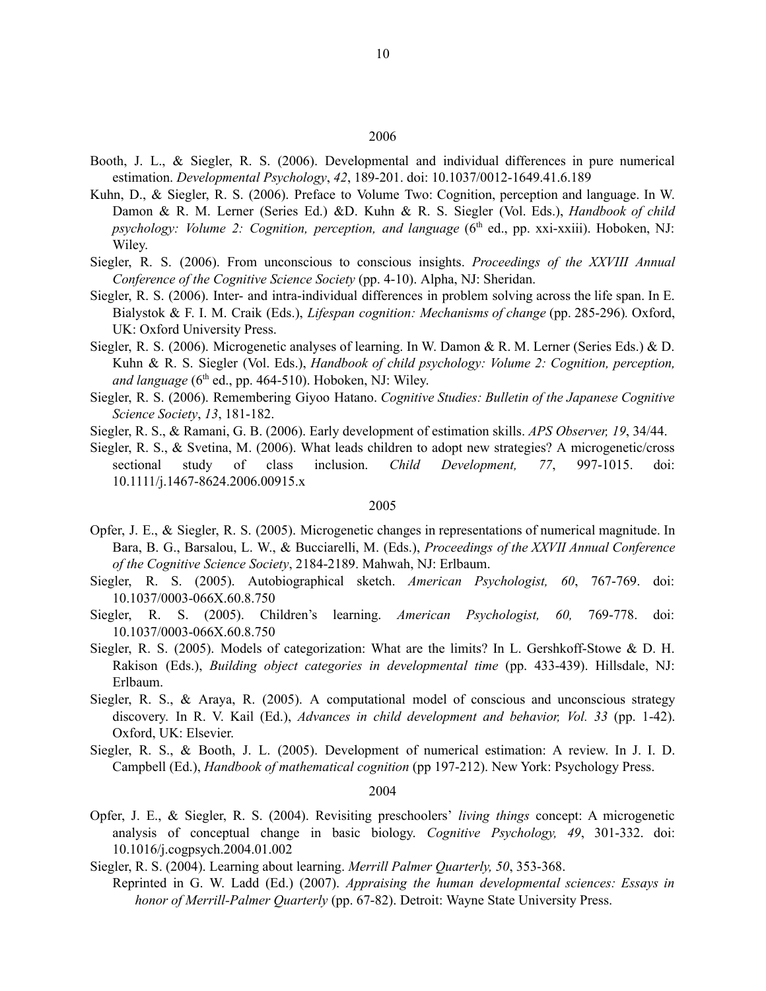- Booth, J. L., & Siegler, R. S. (2006). Developmental and individual differences in pure numerical estimation. *Developmental Psychology*, *42*, 189-201. doi: 10.1037/0012-1649.41.6.189
- Kuhn, D., & Siegler, R. S. (2006). Preface to Volume Two: Cognition, perception and language. In W. Damon & R. M. Lerner (Series Ed.) &D. Kuhn & R. S. Siegler (Vol. Eds.), *Handbook of child psychology: Volume 2: Cognition, perception, and language* (6 th ed., pp. xxi-xxiii). Hoboken, NJ: Wiley.
- Siegler, R. S. (2006). From unconscious to conscious insights. *Proceedings of the XXVIII Annual Conference of the Cognitive Science Society* (pp. 4-10). Alpha, NJ: Sheridan.
- Siegler, R. S. (2006). Inter- and intra-individual differences in problem solving across the life span. In E. Bialystok & F. I. M. Craik (Eds.), *Lifespan cognition: Mechanisms of change* (pp. 285-296)*.* Oxford, UK: Oxford University Press.
- Siegler, R. S. (2006). Microgenetic analyses of learning. In W. Damon & R. M. Lerner (Series Eds.) & D. Kuhn & R. S. Siegler (Vol. Eds.), *Handbook of child psychology: Volume 2: Cognition, perception,* and *language* (6<sup>th</sup> ed., pp. 464-510). Hoboken, NJ: Wiley.
- Siegler, R. S. (2006). Remembering Giyoo Hatano. *Cognitive Studies: Bulletin of the Japanese Cognitive Science Society*, *13*, 181-182.
- Siegler, R. S., & Ramani, G. B. (2006). Early development of estimation skills. *APS Observer, 19*, 34/44.
- Siegler, R. S., & Svetina, M. (2006). What leads children to adopt new strategies? A microgenetic/cross sectional study of class inclusion. *Child Development, 77*, 997-1015. doi: 10.1111/j.1467-8624.2006.00915.x

#### 2005

- Opfer, J. E., & Siegler, R. S. (2005). Microgenetic changes in representations of numerical magnitude. In Bara, B. G., Barsalou, L. W., & Bucciarelli, M. (Eds.), *Proceedings of the XXVII Annual Conference of the Cognitive Science Society*, 2184-2189. Mahwah, NJ: Erlbaum.
- Siegler, R. S. (2005). Autobiographical sketch. *American Psychologist, 60*, 767-769. doi: [10.1037/0003-066X.60.8.750](http://psycnet.apa.org/doi/10.1037/0003-066X.60.8.750)
- Siegler, R. S. (2005). Children's learning. *American Psychologist, 60,* 769-778. doi: [10.1037/0003-066X.60.8.750](http://psycnet.apa.org/doi/10.1037/0003-066X.60.8.750)
- Siegler, R. S. (2005). Models of categorization: What are the limits? In L. Gershkoff-Stowe & D. H. Rakison (Eds.), *Building object categories in developmental time* (pp. 433-439). Hillsdale, NJ: Erlbaum.
- Siegler, R. S., & Araya, R. (2005). A computational model of conscious and unconscious strategy discovery. In R. V. Kail (Ed.), *Advances in child development and behavior, Vol. 33* (pp. 1-42). Oxford, UK: Elsevier.
- Siegler, R. S., & Booth, J. L. (2005). Development of numerical estimation: A review. In J. I. D. Campbell (Ed.), *Handbook of mathematical cognition* (pp 197-212). New York: Psychology Press.

- Opfer, J. E., & Siegler, R. S. (2004). Revisiting preschoolers' *living things* concept: A microgenetic analysis of conceptual change in basic biology. *Cognitive Psychology, 49*, 301-332. doi: [10.1016/j.cogpsych.2004.01.002](http://dx.doi.org/10.1016/j.cogpsych.2004.01.002)
- Siegler, R. S. (2004). Learning about learning. *Merrill Palmer Quarterly, 50*, 353-368.
	- Reprinted in G. W. Ladd (Ed.) (2007). *Appraising the human developmental sciences: Essays in honor of Merrill-Palmer Quarterly* (pp. 67-82). Detroit: Wayne State University Press.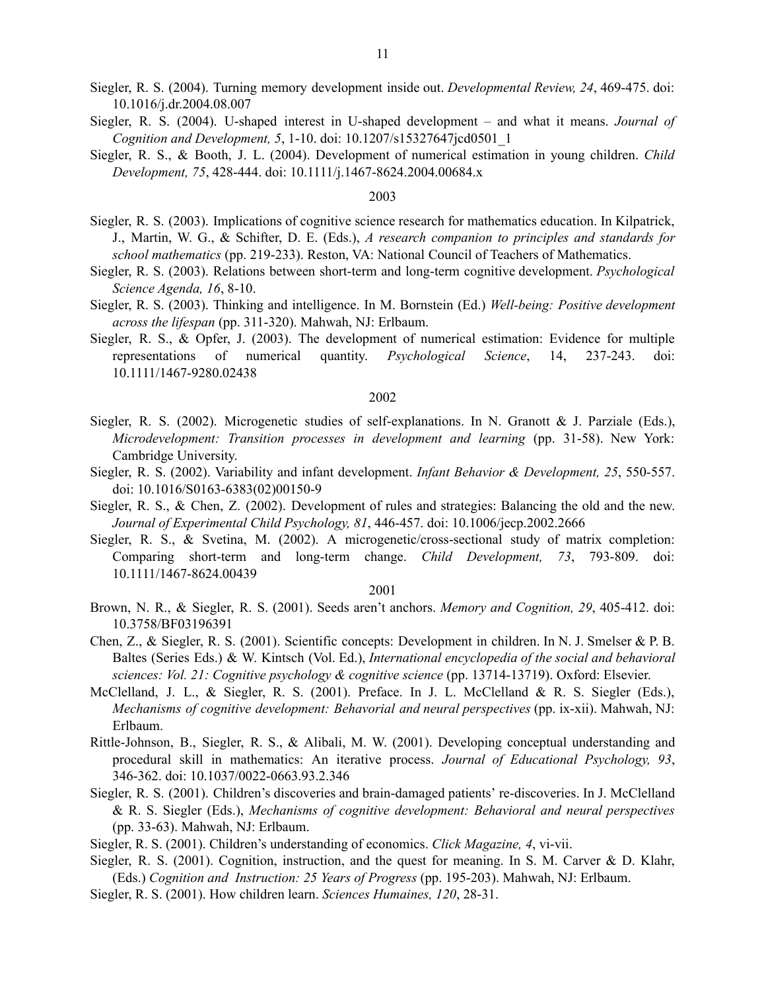- Siegler, R. S. (2004). Turning memory development inside out. *Developmental Review, 24*, 469-475. doi: [10.1016/j.dr.2004.08.007](http://dx.doi.org/10.1016/j.dr.2004.08.007)
- Siegler, R. S. (2004). U-shaped interest in U-shaped development and what it means. *Journal of Cognition and Development, 5*, 1-10. doi: 10.1207/s15327647jcd0501\_1
- Siegler, R. S., & Booth, J. L. (2004). Development of numerical estimation in young children. *Child Development, 75*, 428-444. doi: 10.1111/j.1467-8624.2004.00684.x

- Siegler, R. S. (2003). Implications of cognitive science research for mathematics education. In Kilpatrick, J., Martin, W. G., & Schifter, D. E. (Eds.), *A research companion to principles and standards for school mathematics* (pp. 219-233). Reston, VA: National Council of Teachers of Mathematics.
- Siegler, R. S. (2003). Relations between short-term and long-term cognitive development. *Psychological Science Agenda, 16*, 8-10.
- Siegler, R. S. (2003). Thinking and intelligence. In M. Bornstein (Ed.) *Well-being: Positive development across the lifespan* (pp. 311-320). Mahwah, NJ: Erlbaum.
- Siegler, R. S., & Opfer, J. (2003). The development of numerical estimation: Evidence for multiple representations of numerical quantity. *Psychological Science*, 14, 237-243. doi: 10.1111/1467-9280.02438

### 2002

- Siegler, R. S. (2002). Microgenetic studies of self-explanations. In N. Granott & J. Parziale (Eds.), *Microdevelopment: Transition processes in development and learning* (pp. 31-58). New York: Cambridge University.
- Siegler, R. S. (2002). Variability and infant development. *Infant Behavior & Development, 25*, 550-557. doi: 10.1016/S0163-6383(02)00150-9
- Siegler, R. S., & Chen, Z. (2002). Development of rules and strategies: Balancing the old and the new. *Journal of Experimental Child Psychology, 81*, 446-457. doi: 10.1006/jecp.2002.2666
- Siegler, R. S., & Svetina, M. (2002). A microgenetic/cross-sectional study of matrix completion: Comparing short-term and long-term change. *Child Development, 73*, 793-809. doi: 10.1111/1467-8624.00439

- Brown, N. R., & Siegler, R. S. (2001). Seeds aren't anchors. *Memory and Cognition, 29*, 405-412. doi: 10.3758/BF03196391
- Chen, Z., & Siegler, R. S. (2001). Scientific concepts: Development in children. In N. J. Smelser & P. B. Baltes (Series Eds.) & W. Kintsch (Vol. Ed.), *International encyclopedia of the social and behavioral sciences: Vol. 21: Cognitive psychology & cognitive science* (pp. 13714-13719). Oxford: Elsevier.
- McClelland, J. L., & Siegler, R. S. (2001). Preface. In J. L. McClelland & R. S. Siegler (Eds.), *Mechanisms of cognitive development: Behavorial and neural perspectives* (pp. ix-xii). Mahwah, NJ: Erlbaum.
- Rittle-Johnson, B., Siegler, R. S., & Alibali, M. W. (2001). Developing conceptual understanding and procedural skill in mathematics: An iterative process. *Journal of Educational Psychology, 93*, 346-362. doi: 10.1037/0022-0663.93.2.346
- Siegler, R. S. (2001). Children's discoveries and brain-damaged patients' re-discoveries. In J. McClelland & R. S. Siegler (Eds.), *Mechanisms of cognitive development: Behavioral and neural perspectives* (pp. 33-63). Mahwah, NJ: Erlbaum.
- Siegler, R. S. (2001). Children's understanding of economics. *Click Magazine, 4*, vi-vii.
- Siegler, R. S. (2001). Cognition, instruction, and the quest for meaning. In S. M. Carver & D. Klahr, (Eds.) *Cognition and Instruction: 25 Years of Progress* (pp. 195-203). Mahwah, NJ: Erlbaum.
- Siegler, R. S. (2001). How children learn. *Sciences Humaines, 120*, 28-31.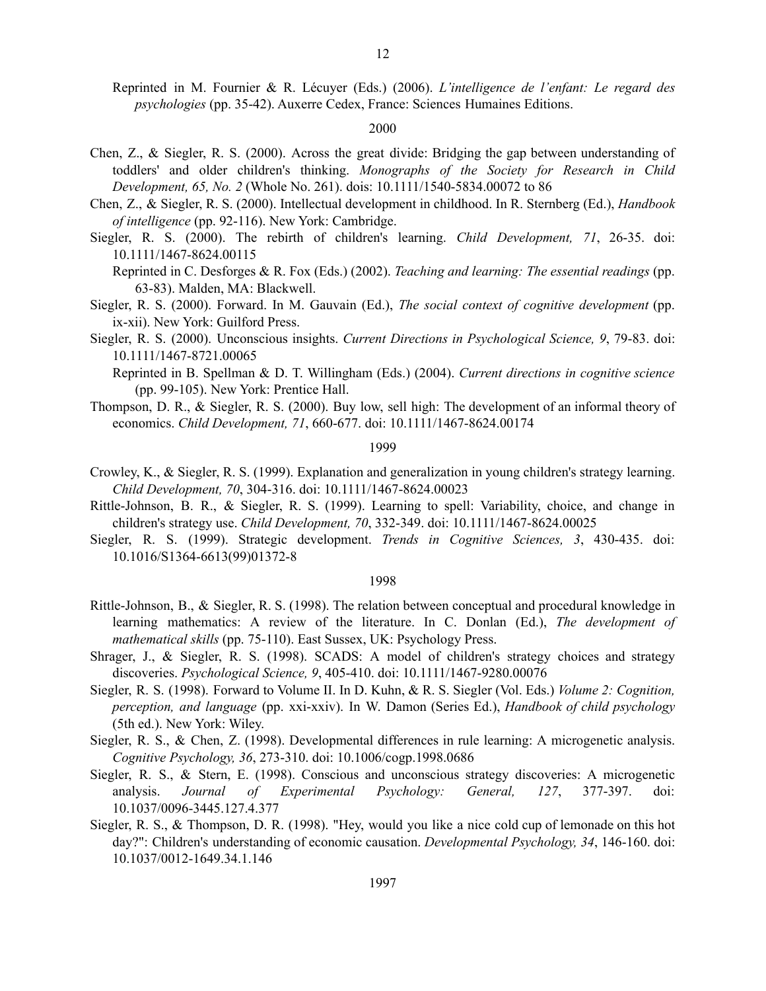Reprinted in M. Fournier & R. Lécuyer (Eds.) (2006). *L'intelligence de l'enfant: Le regard des psychologies* (pp. 35-42). Auxerre Cedex, France: Sciences Humaines Editions.

# 2000

- Chen, Z., & Siegler, R. S. (2000). Across the great divide: Bridging the gap between understanding of toddlers' and older children's thinking. *Monographs of the Society for Research in Child Development, 65, No. 2* (Whole No. 261). dois: 10.1111/1540-5834.00072 to 86
- Chen, Z., & Siegler, R. S. (2000). Intellectual development in childhood. In R. Sternberg (Ed.), *Handbook of intelligence* (pp. 92-116). New York: Cambridge.
- Siegler, R. S. (2000). The rebirth of children's learning. *Child Development, 71*, 26-35. doi: 10.1111/1467-8624.00115
	- Reprinted in C. Desforges & R. Fox (Eds.) (2002). *Teaching and learning: The essential readings* (pp. 63-83). Malden, MA: Blackwell.
- Siegler, R. S. (2000). Forward. In M. Gauvain (Ed.), *The social context of cognitive development* (pp. ix-xii). New York: Guilford Press.
- Siegler, R. S. (2000). Unconscious insights. *Current Directions in Psychological Science, 9*, 79-83. doi: 10.1111/1467-8721.00065

Reprinted in B. Spellman & D. T. Willingham (Eds.) (2004). *Current directions in cognitive science* (pp. 99-105). New York: Prentice Hall.

Thompson, D. R., & Siegler, R. S. (2000). Buy low, sell high: The development of an informal theory of economics. *Child Development, 71*, 660-677. doi: 10.1111/1467-8624.00174

# 1999

- Crowley, K., & Siegler, R. S. (1999). Explanation and generalization in young children's strategy learning. *Child Development, 70*, 304-316. doi: 10.1111/1467-8624.00023
- Rittle-Johnson, B. R., & Siegler, R. S. (1999). Learning to spell: Variability, choice, and change in children's strategy use. *Child Development, 70*, 332-349. doi: 10.1111/1467-8624.00025
- Siegler, R. S. (1999). Strategic development. *Trends in Cognitive Sciences, 3*, 430-435. doi: 10.1016/S1364-6613(99)01372-8

- Rittle-Johnson, B., & Siegler, R. S. (1998). The relation between conceptual and procedural knowledge in learning mathematics: A review of the literature. In C. Donlan (Ed.), *The development of mathematical skills* (pp. 75-110). East Sussex, UK: Psychology Press.
- Shrager, J., & Siegler, R. S. (1998). SCADS: A model of children's strategy choices and strategy discoveries. *Psychological Science, 9*, 405-410. doi: 10.1111/1467-9280.00076
- Siegler, R. S. (1998). Forward to Volume II. In D. Kuhn, & R. S. Siegler (Vol. Eds.) *Volume 2: Cognition, perception, and language* (pp. xxi-xxiv). In W. Damon (Series Ed.), *Handbook of child psychology* (5th ed.). New York: Wiley.
- Siegler, R. S., & Chen, Z. (1998). Developmental differences in rule learning: A microgenetic analysis. *Cognitive Psychology, 36*, 273-310. doi: 10.1006/cogp.1998.0686
- Siegler, R. S., & Stern, E. (1998). Conscious and unconscious strategy discoveries: A microgenetic analysis. *Journal of Experimental Psychology: General, 127*, 377-397. doi: 10.1037/0096-3445.127.4.377
- Siegler, R. S., & Thompson, D. R. (1998). "Hey, would you like a nice cold cup of lemonade on this hot day?": Children's understanding of economic causation. *Developmental Psychology, 34*, 146-160. doi: 10.1037/0012-1649.34.1.146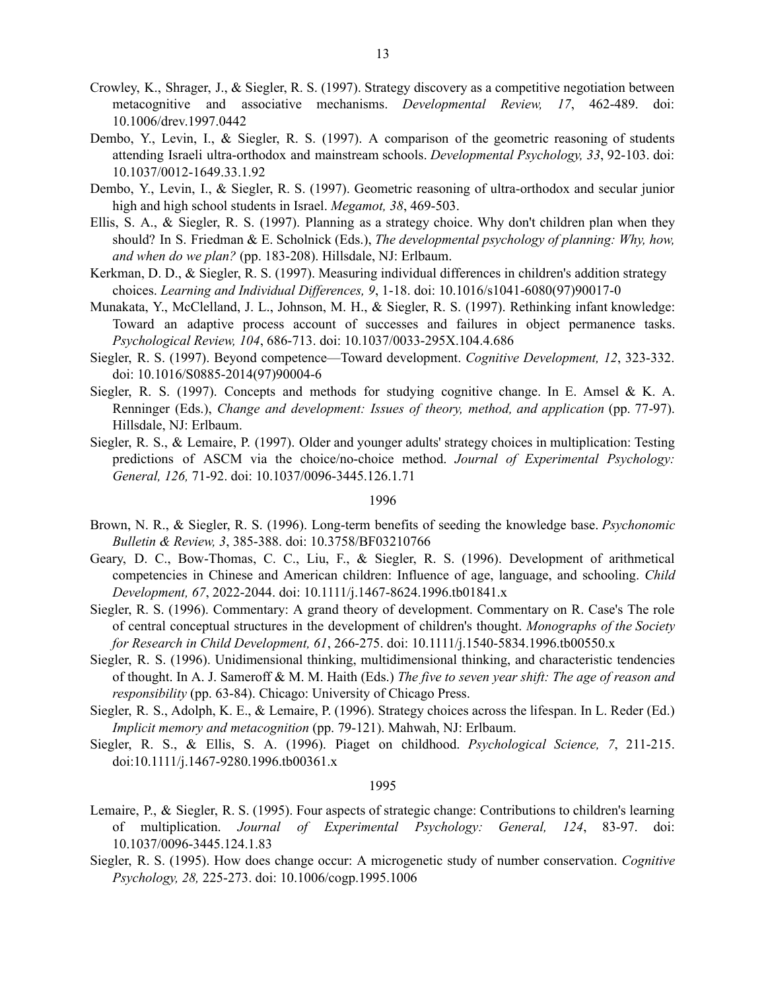- Crowley, K., Shrager, J., & Siegler, R. S. (1997). Strategy discovery as a competitive negotiation between metacognitive and associative mechanisms. *Developmental Review, 17*, 462-489. doi: 10.1006/drev.1997.0442
- Dembo, Y., Levin, I., & Siegler, R. S. (1997). A comparison of the geometric reasoning of students attending Israeli ultra-orthodox and mainstream schools. *Developmental Psychology, 33*, 92-103. doi: 10.1037/0012-1649.33.1.92
- Dembo, Y., Levin, I., & Siegler, R. S. (1997). Geometric reasoning of ultra-orthodox and secular junior high and high school students in Israel. *Megamot, 38*, 469-503.
- Ellis, S. A., & Siegler, R. S. (1997). Planning as a strategy choice. Why don't children plan when they should? In S. Friedman & E. Scholnick (Eds.), *The developmental psychology of planning: Why, how, and when do we plan?* (pp. 183-208). Hillsdale, NJ: Erlbaum.
- Kerkman, D. D., & Siegler, R. S. (1997). Measuring individual differences in children's addition strategy choices. *Learning and Individual Dif erences, 9*, 1-18. doi: 10.1016/s1041-6080(97)90017-0
- Munakata, Y., McClelland, J. L., Johnson, M. H., & Siegler, R. S. (1997). Rethinking infant knowledge: Toward an adaptive process account of successes and failures in object permanence tasks. *Psychological Review, 104*, 686-713. doi: [10.1037/0033-295X.104.4.686](http://psycnet.apa.org/doi/10.1037/0033-295X.104.4.686)
- Siegler, R. S. (1997). Beyond competence—Toward development. *Cognitive Development, 12*, 323-332. doi: 10.1016/S0885-2014(97)90004-6
- Siegler, R. S. (1997). Concepts and methods for studying cognitive change. In E. Amsel & K. A. Renninger (Eds.), *Change and development: Issues of theory, method, and application* (pp. 77-97). Hillsdale, NJ: Erlbaum.
- Siegler, R. S., & Lemaire, P. (1997). Older and younger adults' strategy choices in multiplication: Testing predictions of ASCM via the choice/no-choice method. *Journal of Experimental Psychology: General, 126,* 71-92. doi: [10.1037/0096-3445.126.1.71](http://psycnet.apa.org/doi/10.1037/0096-3445.126.1.71)

- Brown, N. R., & Siegler, R. S. (1996). Long-term benefits of seeding the knowledge base. *Psychonomic Bulletin & Review, 3*, 385-388. doi: 10.3758/BF03210766
- Geary, D. C., Bow-Thomas, C. C., Liu, F., & Siegler, R. S. (1996). Development of arithmetical competencies in Chinese and American children: Influence of age, language, and schooling. *Child Development, 67*, 2022-2044. doi: 10.1111/j.1467-8624.1996.tb01841.x
- Siegler, R. S. (1996). Commentary: A grand theory of development. Commentary on R. Case's The role of central conceptual structures in the development of children's thought. *Monographs of the Society for Research in Child Development, 61*, 266-275. doi: 10.1111/j.1540-5834.1996.tb00550.x
- Siegler, R. S. (1996). Unidimensional thinking, multidimensional thinking, and characteristic tendencies of thought. In A. J. Sameroff & M. M. Haith (Eds.) *The five to seven year shift: The age of reason and responsibility* (pp. 63-84). Chicago: University of Chicago Press.
- Siegler, R. S., Adolph, K. E., & Lemaire, P. (1996). Strategy choices across the lifespan. In L. Reder (Ed.) *Implicit memory and metacognition* (pp. 79-121). Mahwah, NJ: Erlbaum.
- Siegler, R. S., & Ellis, S. A. (1996). Piaget on childhood. *Psychological Science, 7*, 211-215. doi:10.1111/j.1467-9280.1996.tb00361.x

- Lemaire, P., & Siegler, R. S. (1995). Four aspects of strategic change: Contributions to children's learning of multiplication. *Journal of Experimental Psychology: General, 124*, 83-97. doi: 10.1037/0096-3445.124.1.83
- Siegler, R. S. (1995). How does change occur: A microgenetic study of number conservation. *Cognitive Psychology, 28,* 225-273. doi: 10.1006/cogp.1995.1006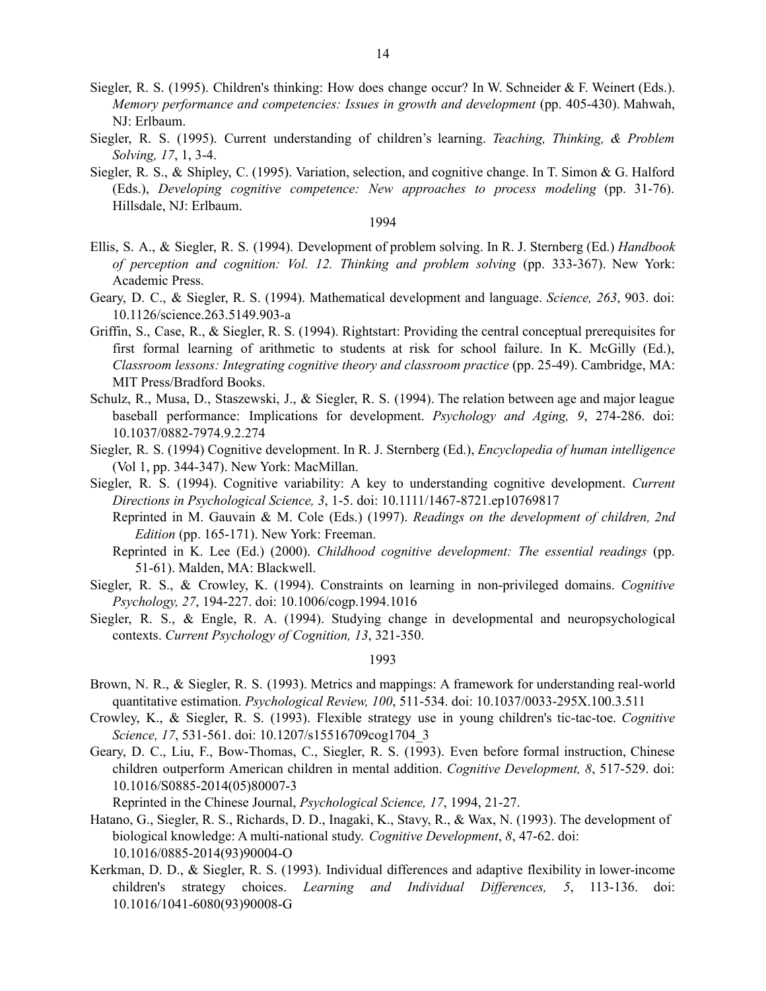- Siegler, R. S. (1995). Children's thinking: How does change occur? In W. Schneider & F. Weinert (Eds.). *Memory performance and competencies: Issues in growth and development* (pp. 405-430). Mahwah, NJ: Erlbaum.
- Siegler, R. S. (1995). Current understanding of children's learning. *Teaching, Thinking, & Problem Solving, 17*, 1, 3-4.
- Siegler, R. S., & Shipley, C. (1995). Variation, selection, and cognitive change. In T. Simon & G. Halford (Eds.), *Developing cognitive competence: New approaches to process modeling* (pp. 31-76). Hillsdale, NJ: Erlbaum.

- Ellis, S. A., & Siegler, R. S. (1994). Development of problem solving. In R. J. Sternberg (Ed.) *Handbook of perception and cognition: Vol. 12. Thinking and problem solving* (pp. 333-367). New York: Academic Press.
- Geary, D. C., & Siegler, R. S. (1994). Mathematical development and language. *Science, 263*, 903. doi: 10.1126/science.263.5149.903-a
- Griffin, S., Case, R., & Siegler, R. S. (1994). Rightstart: Providing the central conceptual prerequisites for first formal learning of arithmetic to students at risk for school failure. In K. McGilly (Ed.), *Classroom lessons: Integrating cognitive theory and classroom practice* (pp. 25-49). Cambridge, MA: MIT Press/Bradford Books.
- Schulz, R., Musa, D., Staszewski, J., & Siegler, R. S. (1994). The relation between age and major league baseball performance: Implications for development. *Psychology and Aging, 9*, 274-286. doi: 10.1037/0882-7974.9.2.274
- Siegler, R. S. (1994) Cognitive development. In R. J. Sternberg (Ed.), *Encyclopedia of human intelligence* (Vol 1, pp. 344-347). New York: MacMillan.
- Siegler, R. S. (1994). Cognitive variability: A key to understanding cognitive development. *Current Directions in Psychological Science, 3*, 1-5. doi: 10.1111/1467-8721.ep10769817
	- Reprinted in M. Gauvain & M. Cole (Eds.) (1997). *Readings on the development of children, 2nd Edition* (pp. 165-171). New York: Freeman.
	- Reprinted in K. Lee (Ed.) (2000). *Childhood cognitive development: The essential readings* (pp. 51-61). Malden, MA: Blackwell.
- Siegler, R. S., & Crowley, K. (1994). Constraints on learning in non-privileged domains. *Cognitive Psychology, 27*, 194-227. doi: 10.1006/cogp.1994.1016
- Siegler, R. S., & Engle, R. A. (1994). Studying change in developmental and neuropsychological contexts. *Current Psychology of Cognition, 13*, 321-350.

## 1993

- Brown, N. R., & Siegler, R. S. (1993). Metrics and mappings: A framework for understanding real-world quantitative estimation. *Psychological Review, 100*, 511-534. doi: 10.1037/0033-295X.100.3.511
- Crowley, K., & Siegler, R. S. (1993). Flexible strategy use in young children's tic-tac-toe. *Cognitive Science, 17*, 531-561. doi: 10.1207/s15516709cog1704\_3
- Geary, D. C., Liu, F., Bow-Thomas, C., Siegler, R. S. (1993). Even before formal instruction, Chinese children outperform American children in mental addition. *Cognitive Development, 8*, 517-529. doi: 10.1016/S0885-2014(05)80007-3

Reprinted in the Chinese Journal, *Psychological Science, 17*, 1994, 21-27.

- Hatano, G., Siegler, R. S., Richards, D. D., Inagaki, K., Stavy, R., & Wax, N. (1993). The development of biological knowledge: A multi-national study. *Cognitive Development*, *8*, 47-62. doi: 10.1016/0885-2014(93)90004-O
- Kerkman, D. D., & Siegler, R. S. (1993). Individual differences and adaptive flexibility in lower-income children's strategy choices. *Learning and Individual Differences*, 5, 113-136. doi: 10.1016/1041-6080(93)90008-G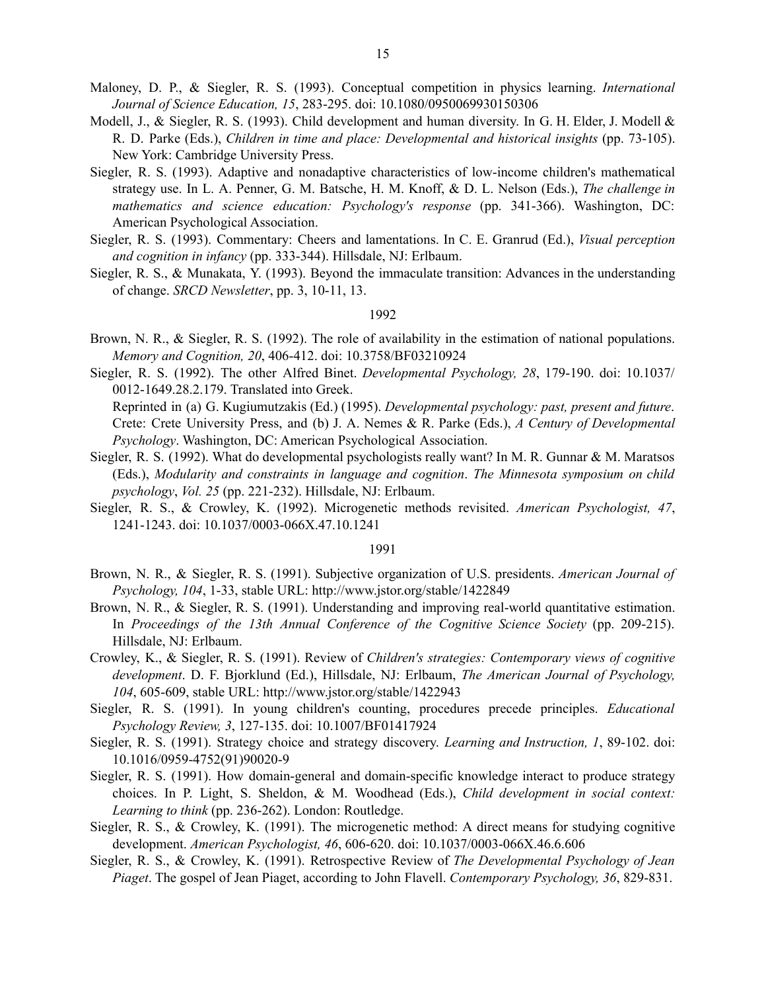- Maloney, D. P., & Siegler, R. S. (1993). Conceptual competition in physics learning. *International Journal of Science Education, 15*, 283-295. doi: 10.1080/0950069930150306
- Modell, J., & Siegler, R. S. (1993). Child development and human diversity. In G. H. Elder, J. Modell & R. D. Parke (Eds.), *Children in time and place: Developmental and historical insights* (pp. 73-105). New York: Cambridge University Press.
- Siegler, R. S. (1993). Adaptive and nonadaptive characteristics of low-income children's mathematical strategy use. In L. A. Penner, G. M. Batsche, H. M. Knoff, & D. L. Nelson (Eds.), *The challenge in mathematics and science education: Psychology's response* (pp. 341-366). Washington, DC: American Psychological Association.
- Siegler, R. S. (1993). Commentary: Cheers and lamentations. In C. E. Granrud (Ed.), *Visual perception and cognition in infancy* (pp. 333-344). Hillsdale, NJ: Erlbaum.
- Siegler, R. S., & Munakata, Y. (1993). Beyond the immaculate transition: Advances in the understanding of change. *SRCD Newsletter*, pp. 3, 10-11, 13.

- Brown, N. R., & Siegler, R. S. (1992). The role of availability in the estimation of national populations. *Memory and Cognition, 20*, 406-412. doi: 10.3758/BF03210924
- Siegler, R. S. (1992). The other Alfred Binet. *Developmental Psychology, 28*, 179-190. doi: 10.1037/ 0012-1649.28.2.179. Translated into Greek.
	- Reprinted in (a) G. Kugiumutzakis (Ed.) (1995). *Developmental psychology: past, present and future*. Crete: Crete University Press, and (b) J. A. Nemes & R. Parke (Eds.), *A Century of Developmental Psychology*. Washington, DC: American Psychological Association.
- Siegler, R. S. (1992). What do developmental psychologists really want? In M. R. Gunnar & M. Maratsos (Eds.), *Modularity and constraints in language and cognition*. *The Minnesota symposium on child psychology*, *Vol. 25* (pp. 221-232). Hillsdale, NJ: Erlbaum.
- Siegler, R. S., & Crowley, K. (1992). Microgenetic methods revisited. *American Psychologist, 47*, 1241-1243. doi: 10.1037/0003-066X.47.10.1241

- Brown, N. R., & Siegler, R. S. (1991). Subjective organization of U.S. presidents. *American Journal of Psychology, 104*, 1-33, stable URL: http://www.jstor.org/stable/1422849
- Brown, N. R., & Siegler, R. S. (1991). Understanding and improving real-world quantitative estimation. In *Proceedings of the 13th Annual Conference of the Cognitive Science Society* (pp. 209-215). Hillsdale, NJ: Erlbaum.
- Crowley, K., & Siegler, R. S. (1991). Review of *Children's strategies: Contemporary views of cognitive development*. D. F. Bjorklund (Ed.), Hillsdale, NJ: Erlbaum, *The American Journal of Psychology, 104*, 605-609, stable URL: http://www.jstor.org/stable/1422943
- Siegler, R. S. (1991). In young children's counting, procedures precede principles. *Educational Psychology Review, 3*, 127-135. doi: 10.1007/BF01417924
- Siegler, R. S. (1991). Strategy choice and strategy discovery. *Learning and Instruction, 1*, 89-102. doi: 10.1016/0959-4752(91)90020-9
- Siegler, R. S. (1991). How domain-general and domain-specific knowledge interact to produce strategy choices. In P. Light, S. Sheldon, & M. Woodhead (Eds.), *Child development in social context: Learning to think* (pp. 236-262). London: Routledge.
- Siegler, R. S., & Crowley, K. (1991). The microgenetic method: A direct means for studying cognitive development. *American Psychologist, 46*, 606-620. doi: 10.1037/0003-066X.46.6.606
- Siegler, R. S., & Crowley, K. (1991). Retrospective Review of *The Developmental Psychology of Jean Piaget*. The gospel of Jean Piaget, according to John Flavell. *Contemporary Psychology, 36*, 829-831.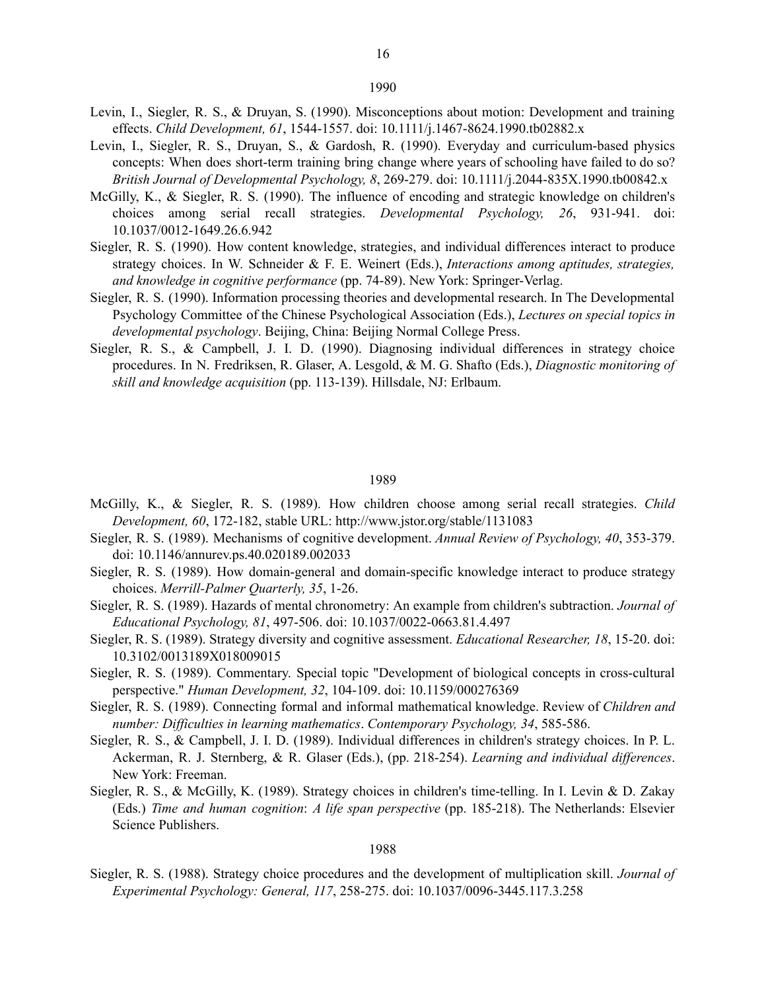- Levin, I., Siegler, R. S., & Druyan, S. (1990). Misconceptions about motion: Development and training effects. *Child Development, 61*, 1544-1557. doi: 10.1111/j.1467-8624.1990.tb02882.x
- Levin, I., Siegler, R. S., Druyan, S., & Gardosh, R. (1990). Everyday and curriculum-based physics concepts: When does short-term training bring change where years of schooling have failed to do so? *British Journal of Developmental Psychology, 8*, 269-279. doi: 10.1111/j.2044-835X.1990.tb00842.x
- McGilly, K., & Siegler, R. S. (1990). The influence of encoding and strategic knowledge on children's choices among serial recall strategies. *Developmental Psychology, 26*, 931-941. doi: 10.1037/0012-1649.26.6.942
- Siegler, R. S. (1990). How content knowledge, strategies, and individual differences interact to produce strategy choices. In W. Schneider & F. E. Weinert (Eds.), *Interactions among aptitudes, strategies, and knowledge in cognitive performance* (pp. 74-89). New York: Springer-Verlag.
- Siegler, R. S. (1990). Information processing theories and developmental research. In The Developmental Psychology Committee of the Chinese Psychological Association (Eds.), *Lectures on special topics in developmental psychology*. Beijing, China: Beijing Normal College Press.
- Siegler, R. S., & Campbell, J. I. D. (1990). Diagnosing individual differences in strategy choice procedures. In N. Fredriksen, R. Glaser, A. Lesgold, & M. G. Shafto (Eds.), *Diagnostic monitoring of skill and knowledge acquisition* (pp. 113-139). Hillsdale, NJ: Erlbaum.

#### 1989

- McGilly, K., & Siegler, R. S. (1989). How children choose among serial recall strategies. *Child Development, 60*, 172-182, stable URL: http://www.jstor.org/stable/1131083
- Siegler, R. S. (1989). Mechanisms of cognitive development. *Annual Review of Psychology, 40*, 353-379. doi: 10.1146/annurev.ps.40.020189.002033
- Siegler, R. S. (1989). How domain-general and domain-specific knowledge interact to produce strategy choices. *Merrill-Palmer Quarterly, 35*, 1-26.
- Siegler, R. S. (1989). Hazards of mental chronometry: An example from children's subtraction. *Journal of Educational Psychology, 81*, 497-506. doi: 10.1037/0022-0663.81.4.497
- Siegler, R. S. (1989). Strategy diversity and cognitive assessment. *Educational Researcher, 18*, 15-20. doi: 10.3102/0013189X018009015
- Siegler, R. S. (1989). Commentary. Special topic "Development of biological concepts in cross-cultural perspective." *Human Development, 32*, 104-109. doi: 10.1159/000276369
- Siegler, R. S. (1989). Connecting formal and informal mathematical knowledge. Review of *Children and number: Dif iculties in learning mathematics*. *Contemporary Psychology, 34*, 585-586.
- Siegler, R. S., & Campbell, J. I. D. (1989). Individual differences in children's strategy choices. In P. L. Ackerman, R. J. Sternberg, & R. Glaser (Eds.), (pp. 218-254). *Learning and individual differences*. New York: Freeman.
- Siegler, R. S., & McGilly, K. (1989). Strategy choices in children's time-telling. In I. Levin & D. Zakay (Eds.) *Time and human cognition*: *A life span perspective* (pp. 185-218). The Netherlands: Elsevier Science Publishers.

#### 1988

Siegler, R. S. (1988). Strategy choice procedures and the development of multiplication skill. *Journal of Experimental Psychology: General, 117*, 258-275. doi: 10.1037/0096-3445.117.3.258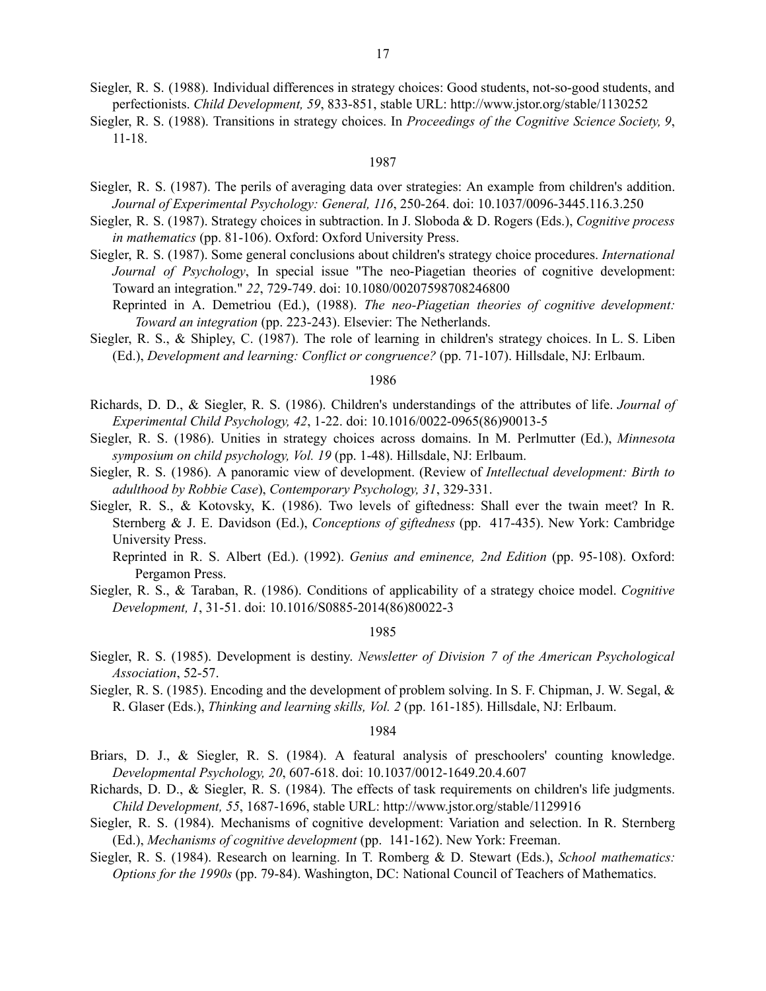- Siegler, R. S. (1988). Individual differences in strategy choices: Good students, not-so-good students, and perfectionists. *Child Development, 59*, 833-851, stable URL: http://www.jstor.org/stable/1130252
- Siegler, R. S. (1988). Transitions in strategy choices. In *Proceedings of the Cognitive Science Society, 9*, 11-18.

- Siegler, R. S. (1987). The perils of averaging data over strategies: An example from children's addition. *Journal of Experimental Psychology: General, 116*, 250-264. doi: 10.1037/0096-3445.116.3.250
- Siegler, R. S. (1987). Strategy choices in subtraction. In J. Sloboda & D. Rogers (Eds.), *Cognitive process in mathematics* (pp. 81-106). Oxford: Oxford University Press.
- Siegler, R. S. (1987). Some general conclusions about children's strategy choice procedures. *International Journal of Psychology*, In special issue "The neo-Piagetian theories of cognitive development: Toward an integration." *22*, 729-749. doi: 10.1080/00207598708246800
	- Reprinted in A. Demetriou (Ed.), (1988). *The neo-Piagetian theories of cognitive development: Toward an integration* (pp. 223-243). Elsevier: The Netherlands.
- Siegler, R. S., & Shipley, C. (1987). The role of learning in children's strategy choices. In L. S. Liben (Ed.), *Development and learning: Conflict or congruence?* (pp. 71-107). Hillsdale, NJ: Erlbaum.

### 1986

- Richards, D. D., & Siegler, R. S. (1986). Children's understandings of the attributes of life. *Journal of Experimental Child Psychology, 42*, 1-22. doi: 10.1016/0022-0965(86)90013-5
- Siegler, R. S. (1986). Unities in strategy choices across domains. In M. Perlmutter (Ed.), *Minnesota symposium on child psychology, Vol. 19* (pp. 1-48). Hillsdale, NJ: Erlbaum.
- Siegler, R. S. (1986). A panoramic view of development. (Review of *Intellectual development: Birth to adulthood by Robbie Case*), *Contemporary Psychology, 31*, 329-331.
- Siegler, R. S., & Kotovsky, K. (1986). Two levels of giftedness: Shall ever the twain meet? In R. Sternberg & J. E. Davidson (Ed.), *Conceptions of giftedness* (pp. 417-435). New York: Cambridge University Press.
	- Reprinted in R. S. Albert (Ed.). (1992). *Genius and eminence, 2nd Edition* (pp. 95-108). Oxford: Pergamon Press.
- Siegler, R. S., & Taraban, R. (1986). Conditions of applicability of a strategy choice model. *Cognitive Development, 1*, 31-51. doi: 10.1016/S0885-2014(86)80022-3

#### 1985

- Siegler, R. S. (1985). Development is destiny. *Newsletter of Division 7 of the American Psychological Association*, 52-57.
- Siegler, R. S. (1985). Encoding and the development of problem solving. In S. F. Chipman, J. W. Segal, & R. Glaser (Eds.), *Thinking and learning skills, Vol. 2* (pp. 161-185). Hillsdale, NJ: Erlbaum.

- Briars, D. J., & Siegler, R. S. (1984). A featural analysis of preschoolers' counting knowledge. *Developmental Psychology, 20*, 607-618. doi: 10.1037/0012-1649.20.4.607
- Richards, D. D., & Siegler, R. S. (1984). The effects of task requirements on children's life judgments. *Child Development, 55*, 1687-1696, stable URL: http://www.jstor.org/stable/1129916
- Siegler, R. S. (1984). Mechanisms of cognitive development: Variation and selection. In R. Sternberg (Ed.), *Mechanisms of cognitive development* (pp. 141-162). New York: Freeman.
- Siegler, R. S. (1984). Research on learning. In T. Romberg & D. Stewart (Eds.), *School mathematics: Options for the 1990s* (pp. 79-84). Washington, DC: National Council of Teachers of Mathematics.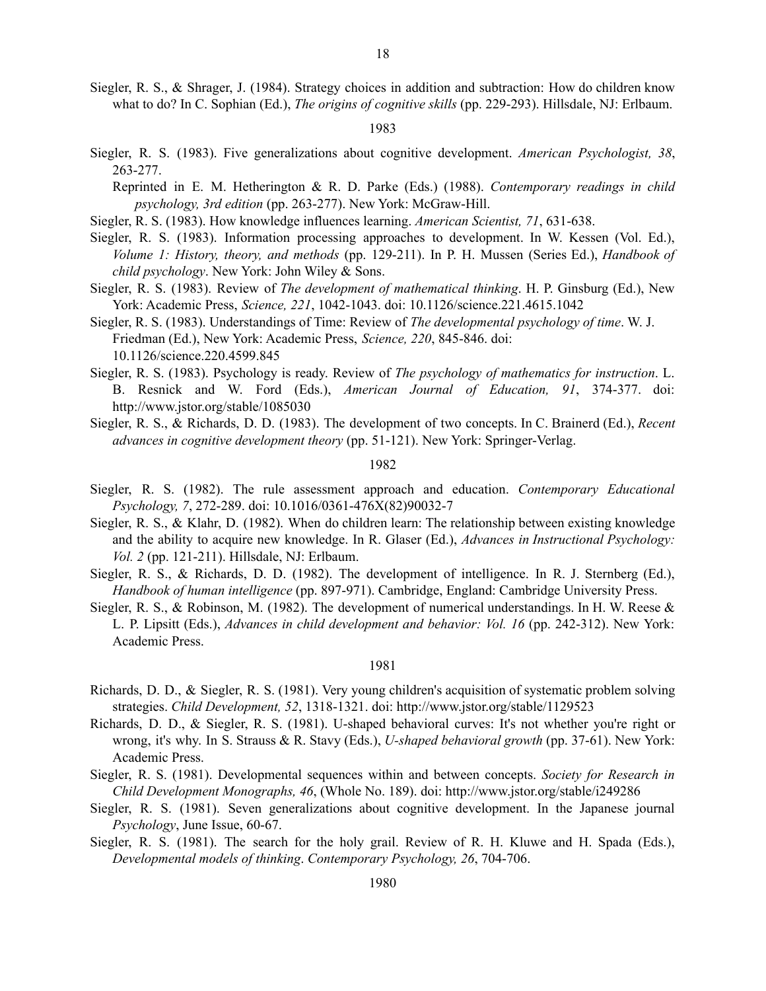Siegler, R. S., & Shrager, J. (1984). Strategy choices in addition and subtraction: How do children know what to do? In C. Sophian (Ed.), *The origins of cognitive skills* (pp. 229-293). Hillsdale, NJ: Erlbaum.

1983

- Siegler, R. S. (1983). Five generalizations about cognitive development. *American Psychologist, 38*, 263-277.
	- Reprinted in E. M. Hetherington & R. D. Parke (Eds.) (1988). *Contemporary readings in child psychology, 3rd edition* (pp. 263-277). New York: McGraw-Hill.
- Siegler, R. S. (1983). How knowledge influences learning. *American Scientist, 71*, 631-638.
- Siegler, R. S. (1983). Information processing approaches to development. In W. Kessen (Vol. Ed.), *Volume 1: History, theory, and methods* (pp. 129-211). In P. H. Mussen (Series Ed.), *Handbook of child psychology*. New York: John Wiley & Sons.
- Siegler, R. S. (1983). Review of *The development of mathematical thinking*. H. P. Ginsburg (Ed.), New York: Academic Press, *Science, 221*, 1042-1043. doi: 10.1126/science.221.4615.1042
- Siegler, R. S. (1983). Understandings of Time: Review of *The developmental psychology of time*. W. J. Friedman (Ed.), New York: Academic Press, *Science, 220*, 845-846. doi: 10.1126/science.220.4599.845
- Siegler, R. S. (1983). Psychology is ready. Review of *The psychology of mathematics for instruction*. L. B. Resnick and W. Ford (Eds.), *American Journal of Education, 91*, 374-377. doi: http://www.jstor.org/stable/1085030
- Siegler, R. S., & Richards, D. D. (1983). The development of two concepts. In C. Brainerd (Ed.), *Recent advances in cognitive development theory* (pp. 51-121). New York: Springer-Verlag.

#### 1982

- Siegler, R. S. (1982). The rule assessment approach and education. *Contemporary Educational Psychology, 7*, 272-289. doi: 10.1016/0361-476X(82)90032-7
- Siegler, R. S., & Klahr, D. (1982). When do children learn: The relationship between existing knowledge and the ability to acquire new knowledge. In R. Glaser (Ed.), *Advances in Instructional Psychology: Vol. 2* (pp. 121-211). Hillsdale, NJ: Erlbaum.
- Siegler, R. S., & Richards, D. D. (1982). The development of intelligence. In R. J. Sternberg (Ed.), *Handbook of human intelligence* (pp. 897-971). Cambridge, England: Cambridge University Press.
- Siegler, R. S., & Robinson, M. (1982). The development of numerical understandings. In H. W. Reese & L. P. Lipsitt (Eds.), *Advances in child development and behavior: Vol. 16* (pp. 242-312). New York: Academic Press.

- Richards, D. D., & Siegler, R. S. (1981). Very young children's acquisition of systematic problem solving strategies. *Child Development, 52*, 1318-1321. doi: http://www.jstor.org/stable/1129523
- Richards, D. D., & Siegler, R. S. (1981). U-shaped behavioral curves: It's not whether you're right or wrong, it's why. In S. Strauss & R. Stavy (Eds.), *U-shaped behavioral growth* (pp. 37-61). New York: Academic Press.
- Siegler, R. S. (1981). Developmental sequences within and between concepts. *Society for Research in Child Development Monographs, 46*, (Whole No. 189). doi: http://www.jstor.org/stable/i249286
- Siegler, R. S. (1981). Seven generalizations about cognitive development. In the Japanese journal *Psychology*, June Issue, 60-67.
- Siegler, R. S. (1981). The search for the holy grail. Review of R. H. Kluwe and H. Spada (Eds.), *Developmental models of thinking*. *Contemporary Psychology, 26*, 704-706.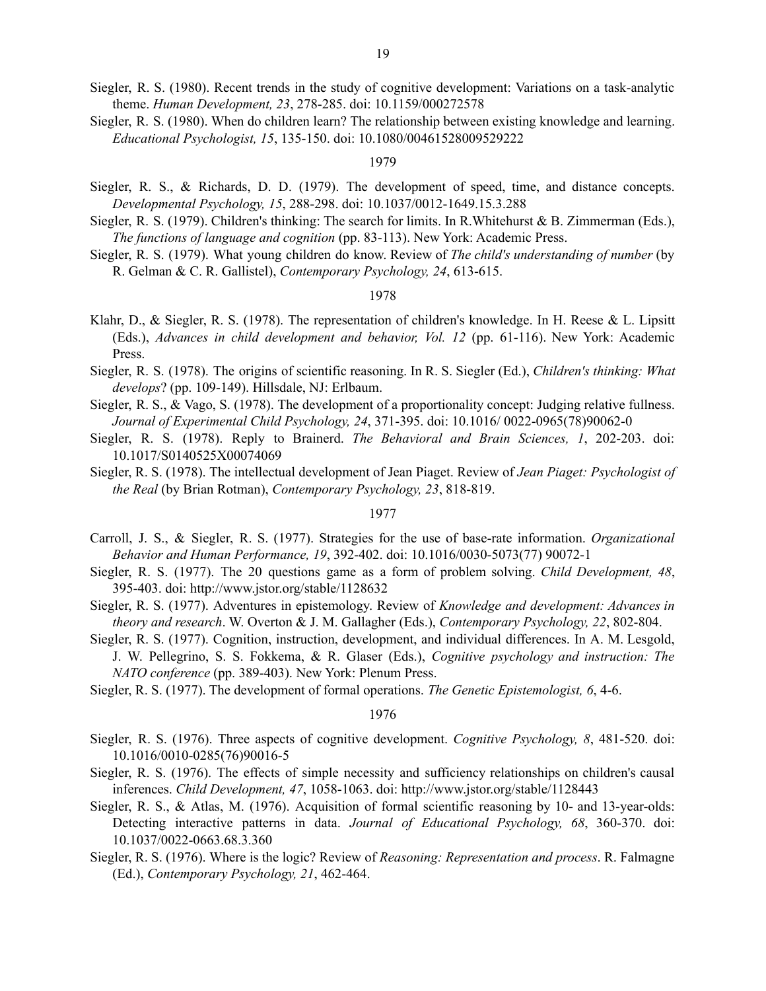- Siegler, R. S. (1980). Recent trends in the study of cognitive development: Variations on a task-analytic theme. *Human Development, 23*, 278-285. doi: 10.1159/000272578
- Siegler, R. S. (1980). When do children learn? The relationship between existing knowledge and learning. *Educational Psychologist, 15*, 135-150. doi: 10.1080/00461528009529222

- Siegler, R. S., & Richards, D. D. (1979). The development of speed, time, and distance concepts. *Developmental Psychology, 15*, 288-298. doi: 10.1037/0012-1649.15.3.288
- Siegler, R. S. (1979). Children's thinking: The search for limits. In R. Whitehurst & B. Zimmerman (Eds.), *The functions of language and cognition* (pp. 83-113). New York: Academic Press.
- Siegler, R. S. (1979). What young children do know. Review of *The child's understanding of number* (by R. Gelman & C. R. Gallistel), *Contemporary Psychology, 24*, 613-615.

# 1978

- Klahr, D., & Siegler, R. S. (1978). The representation of children's knowledge. In H. Reese & L. Lipsitt (Eds.), *Advances in child development and behavior, Vol. 12* (pp. 61-116). New York: Academic Press.
- Siegler, R. S. (1978). The origins of scientific reasoning. In R. S. Siegler (Ed.), *Children's thinking: What develops*? (pp. 109-149). Hillsdale, NJ: Erlbaum.
- Siegler, R. S., & Vago, S. (1978). The development of a proportionality concept: Judging relative fullness. *Journal of Experimental Child Psychology, 24*, 371-395. doi: 10.1016/ 0022-0965(78)90062-0
- Siegler, R. S. (1978). Reply to Brainerd. *The Behavioral and Brain Sciences, 1*, 202-203. doi: 10.1017/S0140525X00074069
- Siegler, R. S. (1978). The intellectual development of Jean Piaget. Review of *Jean Piaget: Psychologist of the Real* (by Brian Rotman), *Contemporary Psychology, 23*, 818-819.

# 1977

- Carroll, J. S., & Siegler, R. S. (1977). Strategies for the use of base-rate information. *Organizational Behavior and Human Performance, 19*, 392-402. doi: 10.1016/0030-5073(77) 90072-1
- Siegler, R. S. (1977). The 20 questions game as a form of problem solving. *Child Development, 48*, 395-403. doi: http://www.jstor.org/stable/1128632
- Siegler, R. S. (1977). Adventures in epistemology. Review of *Knowledge and development: Advances in theory and research*. W. Overton & J. M. Gallagher (Eds.), *Contemporary Psychology, 22*, 802-804.
- Siegler, R. S. (1977). Cognition, instruction, development, and individual differences. In A. M. Lesgold, J. W. Pellegrino, S. S. Fokkema, & R. Glaser (Eds.), *Cognitive psychology and instruction: The NATO conference* (pp. 389-403). New York: Plenum Press.
- Siegler, R. S. (1977). The development of formal operations. *The Genetic Epistemologist, 6*, 4-6.

- Siegler, R. S. (1976). Three aspects of cognitive development. *Cognitive Psychology, 8*, 481-520. doi: 10.1016/0010-0285(76)90016-5
- Siegler, R. S. (1976). The effects of simple necessity and sufficiency relationships on children's causal inferences. *Child Development, 47*, 1058-1063. doi: http://www.jstor.org/stable/1128443
- Siegler, R. S., & Atlas, M. (1976). Acquisition of formal scientific reasoning by 10- and 13-year-olds: Detecting interactive patterns in data. *Journal of Educational Psychology, 68*, 360-370. doi: 10.1037/0022-0663.68.3.360
- Siegler, R. S. (1976). Where is the logic? Review of *Reasoning: Representation and process*. R. Falmagne (Ed.), *Contemporary Psychology, 21*, 462-464.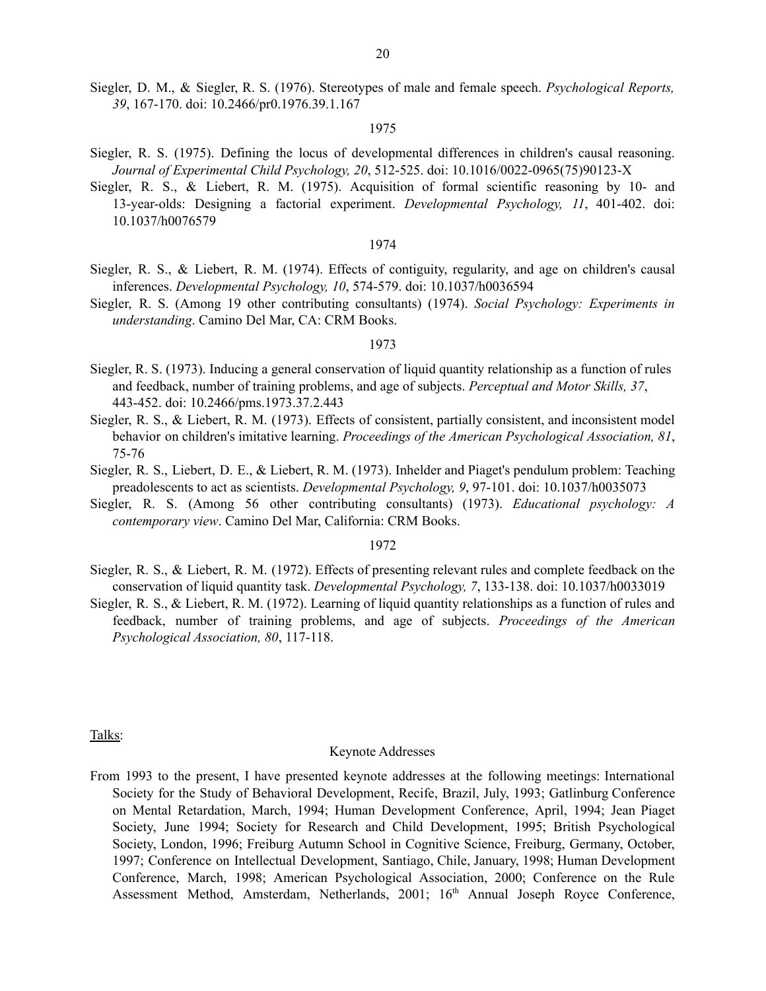Siegler, D. M., & Siegler, R. S. (1976). Stereotypes of male and female speech. *Psychological Reports, 39*, 167-170. doi: 10.2466/pr0.1976.39.1.167

## 1975

- Siegler, R. S. (1975). Defining the locus of developmental differences in children's causal reasoning. *Journal of Experimental Child Psychology, 20*, 512-525. doi: 10.1016/0022-0965(75)90123-X
- Siegler, R. S., & Liebert, R. M. (1975). Acquisition of formal scientific reasoning by 10- and 13-year-olds: Designing a factorial experiment. *Developmental Psychology, 11*, 401-402. doi: 10.1037/h0076579

### 1974

- Siegler, R. S., & Liebert, R. M. (1974). Effects of contiguity, regularity, and age on children's causal inferences. *Developmental Psychology, 10*, 574-579. doi: 10.1037/h0036594
- Siegler, R. S. (Among 19 other contributing consultants) (1974). *Social Psychology: Experiments in understanding*. Camino Del Mar, CA: CRM Books.

# 1973

- Siegler, R. S. (1973). Inducing a general conservation of liquid quantity relationship as a function of rules and feedback, number of training problems, and age of subjects. *Perceptual and Motor Skills, 37*, 443-452. doi: 10.2466/pms.1973.37.2.443
- Siegler, R. S., & Liebert, R. M. (1973). Effects of consistent, partially consistent, and inconsistent model behavior on children's imitative learning. *Proceedings of the American Psychological Association, 81*, 75-76
- Siegler, R. S., Liebert, D. E., & Liebert, R. M. (1973). Inhelder and Piaget's pendulum problem: Teaching preadolescents to act as scientists. *Developmental Psychology, 9*, 97-101. doi: 10.1037/h0035073
- Siegler, R. S. (Among 56 other contributing consultants) (1973). *Educational psychology: A contemporary view*. Camino Del Mar, California: CRM Books.

### 1972

- Siegler, R. S., & Liebert, R. M. (1972). Effects of presenting relevant rules and complete feedback on the conservation of liquid quantity task. *Developmental Psychology, 7*, 133-138. doi: 10.1037/h0033019
- Siegler, R. S., & Liebert, R. M. (1972). Learning of liquid quantity relationships as a function of rules and feedback, number of training problems, and age of subjects. *Proceedings of the American Psychological Association, 80*, 117-118.

## Talks:

### Keynote Addresses

From 1993 to the present, I have presented keynote addresses at the following meetings: International Society for the Study of Behavioral Development, Recife, Brazil, July, 1993; Gatlinburg Conference on Mental Retardation, March, 1994; Human Development Conference, April, 1994; Jean Piaget Society, June 1994; Society for Research and Child Development, 1995; British Psychological Society, London, 1996; Freiburg Autumn School in Cognitive Science, Freiburg, Germany, October, 1997; Conference on Intellectual Development, Santiago, Chile, January, 1998; Human Development Conference, March, 1998; American Psychological Association, 2000; Conference on the Rule Assessment Method, Amsterdam, Netherlands, 2001; 16<sup>th</sup> Annual Joseph Royce Conference,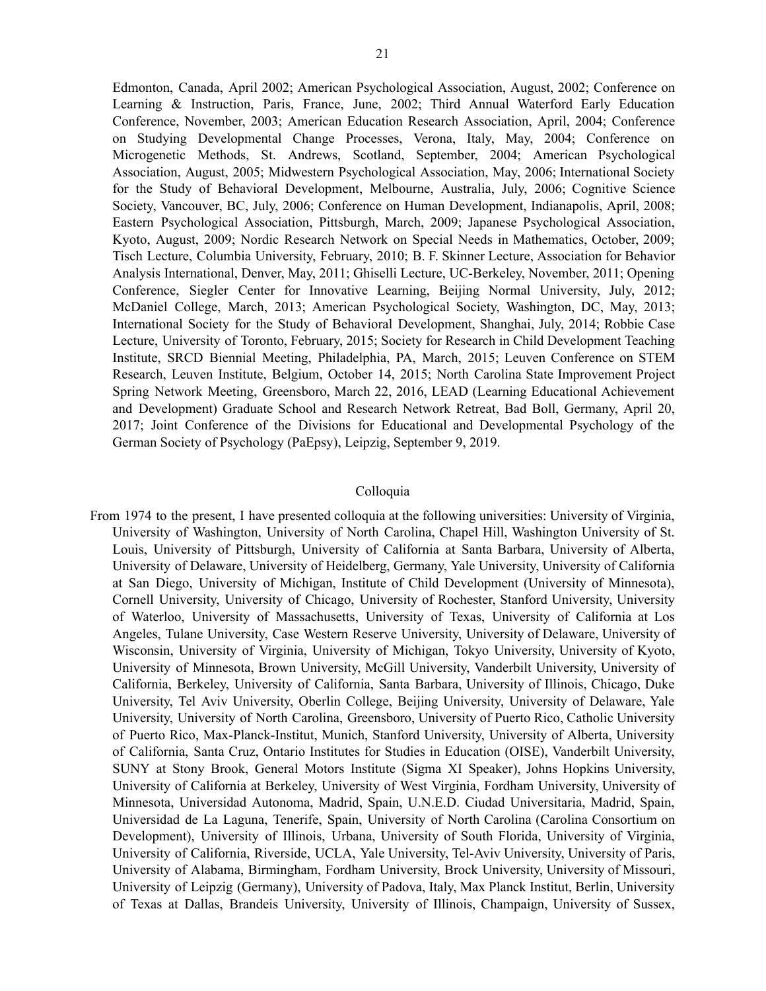Edmonton, Canada, April 2002; American Psychological Association, August, 2002; Conference on Learning & Instruction, Paris, France, June, 2002; Third Annual Waterford Early Education Conference, November, 2003; American Education Research Association, April, 2004; Conference on Studying Developmental Change Processes, Verona, Italy, May, 2004; Conference on Microgenetic Methods, St. Andrews, Scotland, September, 2004; American Psychological Association, August, 2005; Midwestern Psychological Association, May, 2006; International Society for the Study of Behavioral Development, Melbourne, Australia, July, 2006; Cognitive Science Society, Vancouver, BC, July, 2006; Conference on Human Development, Indianapolis, April, 2008; Eastern Psychological Association, Pittsburgh, March, 2009; Japanese Psychological Association, Kyoto, August, 2009; Nordic Research Network on Special Needs in Mathematics, October, 2009; Tisch Lecture, Columbia University, February, 2010; B. F. Skinner Lecture, Association for Behavior Analysis International, Denver, May, 2011; Ghiselli Lecture, UC-Berkeley, November, 2011; Opening Conference, Siegler Center for Innovative Learning, Beijing Normal University, July, 2012; McDaniel College, March, 2013; American Psychological Society, Washington, DC, May, 2013; International Society for the Study of Behavioral Development, Shanghai, July, 2014; Robbie Case Lecture, University of Toronto, February, 2015; Society for Research in Child Development Teaching Institute, SRCD Biennial Meeting, Philadelphia, PA, March, 2015; Leuven Conference on STEM Research, Leuven Institute, Belgium, October 14, 2015; North Carolina State Improvement Project Spring Network Meeting, Greensboro, March 22, 2016, LEAD (Learning Educational Achievement and Development) Graduate School and Research Network Retreat, Bad Boll, Germany, April 20, 2017; Joint Conference of the Divisions for Educational and Developmental Psychology of the German Society of Psychology (PaEpsy), Leipzig, September 9, 2019.

## Colloquia

From 1974 to the present, I have presented colloquia at the following universities: University of Virginia, University of Washington, University of North Carolina, Chapel Hill, Washington University of St. Louis, University of Pittsburgh, University of California at Santa Barbara, University of Alberta, University of Delaware, University of Heidelberg, Germany, Yale University, University of California at San Diego, University of Michigan, Institute of Child Development (University of Minnesota), Cornell University, University of Chicago, University of Rochester, Stanford University, University of Waterloo, University of Massachusetts, University of Texas, University of California at Los Angeles, Tulane University, Case Western Reserve University, University of Delaware, University of Wisconsin, University of Virginia, University of Michigan, Tokyo University, University of Kyoto, University of Minnesota, Brown University, McGill University, Vanderbilt University, University of California, Berkeley, University of California, Santa Barbara, University of Illinois, Chicago, Duke University, Tel Aviv University, Oberlin College, Beijing University, University of Delaware, Yale University, University of North Carolina, Greensboro, University of Puerto Rico, Catholic University of Puerto Rico, Max-Planck-Institut, Munich, Stanford University, University of Alberta, University of California, Santa Cruz, Ontario Institutes for Studies in Education (OISE), Vanderbilt University, SUNY at Stony Brook, General Motors Institute (Sigma XI Speaker), Johns Hopkins University, University of California at Berkeley, University of West Virginia, Fordham University, University of Minnesota, Universidad Autonoma, Madrid, Spain, U.N.E.D. Ciudad Universitaria, Madrid, Spain, Universidad de La Laguna, Tenerife, Spain, University of North Carolina (Carolina Consortium on Development), University of Illinois, Urbana, University of South Florida, University of Virginia, University of California, Riverside, UCLA, Yale University, Tel-Aviv University, University of Paris, University of Alabama, Birmingham, Fordham University, Brock University, University of Missouri, University of Leipzig (Germany), University of Padova, Italy, Max Planck Institut, Berlin, University of Texas at Dallas, Brandeis University, University of Illinois, Champaign, University of Sussex,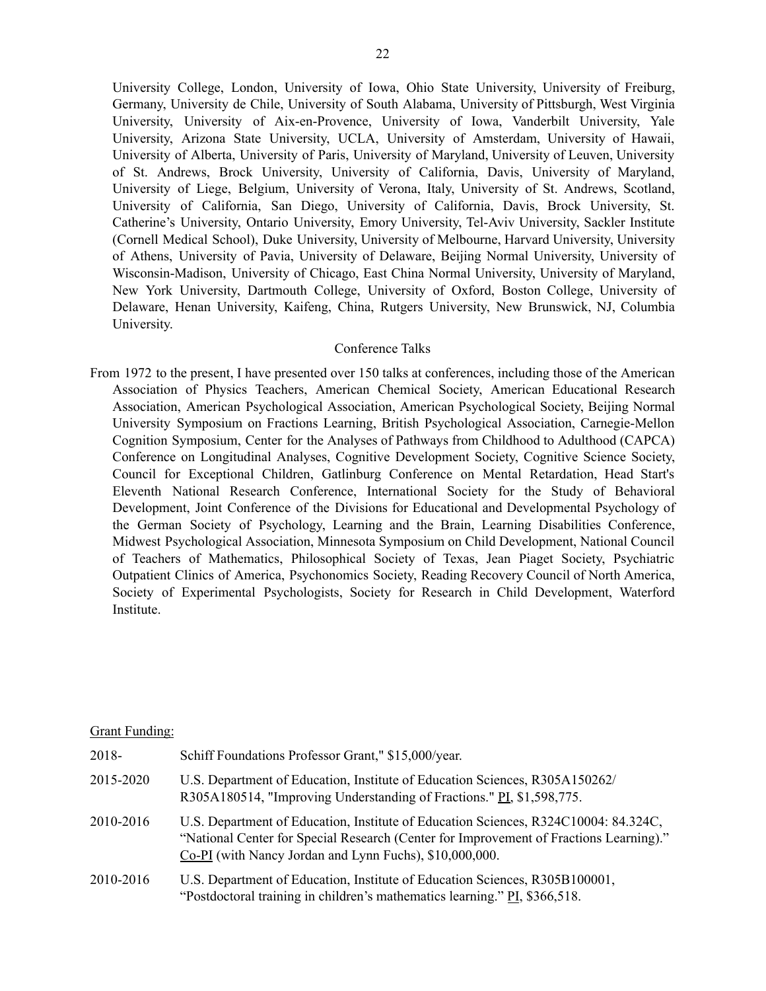University College, London, University of Iowa, Ohio State University, University of Freiburg, Germany, University de Chile, University of South Alabama, University of Pittsburgh, West Virginia University, University of Aix-en-Provence, University of Iowa, Vanderbilt University, Yale University, Arizona State University, UCLA, University of Amsterdam, University of Hawaii, University of Alberta, University of Paris, University of Maryland, University of Leuven, University of St. Andrews, Brock University, University of California, Davis, University of Maryland, University of Liege, Belgium, University of Verona, Italy, University of St. Andrews, Scotland, University of California, San Diego, University of California, Davis, Brock University, St. Catherine's University, Ontario University, Emory University, Tel-Aviv University, Sackler Institute (Cornell Medical School), Duke University, University of Melbourne, Harvard University, University of Athens, University of Pavia, University of Delaware, Beijing Normal University, University of Wisconsin-Madison, University of Chicago, East China Normal University, University of Maryland, New York University, Dartmouth College, University of Oxford, Boston College, University of Delaware, Henan University, Kaifeng, China, Rutgers University, New Brunswick, NJ, Columbia University.

# Conference Talks

From 1972 to the present, I have presented over 150 talks at conferences, including those of the American Association of Physics Teachers, American Chemical Society, American Educational Research Association, American Psychological Association, American Psychological Society, Beijing Normal University Symposium on Fractions Learning, British Psychological Association, Carnegie-Mellon Cognition Symposium, Center for the Analyses of Pathways from Childhood to Adulthood (CAPCA) Conference on Longitudinal Analyses, Cognitive Development Society, Cognitive Science Society, Council for Exceptional Children, Gatlinburg Conference on Mental Retardation, Head Start's Eleventh National Research Conference, International Society for the Study of Behavioral Development, Joint Conference of the Divisions for Educational and Developmental Psychology of the German Society of Psychology, Learning and the Brain, Learning Disabilities Conference, Midwest Psychological Association, Minnesota Symposium on Child Development, National Council of Teachers of Mathematics, Philosophical Society of Texas, Jean Piaget Society, Psychiatric Outpatient Clinics of America, Psychonomics Society, Reading Recovery Council of North America, Society of Experimental Psychologists, Society for Research in Child Development, Waterford Institute.

# Grant Funding:

| 2018-     | Schiff Foundations Professor Grant," \$15,000/year.                                                                                                                                                                                      |
|-----------|------------------------------------------------------------------------------------------------------------------------------------------------------------------------------------------------------------------------------------------|
| 2015-2020 | U.S. Department of Education, Institute of Education Sciences, R305A150262/<br>R305A180514, "Improving Understanding of Fractions." PI, \$1,598,775.                                                                                     |
| 2010-2016 | U.S. Department of Education, Institute of Education Sciences, R324C10004: 84.324C,<br>"National Center for Special Research (Center for Improvement of Fractions Learning)."<br>Co-PI (with Nancy Jordan and Lynn Fuchs), \$10,000,000. |
| 2010-2016 | U.S. Department of Education, Institute of Education Sciences, R305B100001,<br>"Postdoctoral training in children's mathematics learning." PI, \$366,518.                                                                                |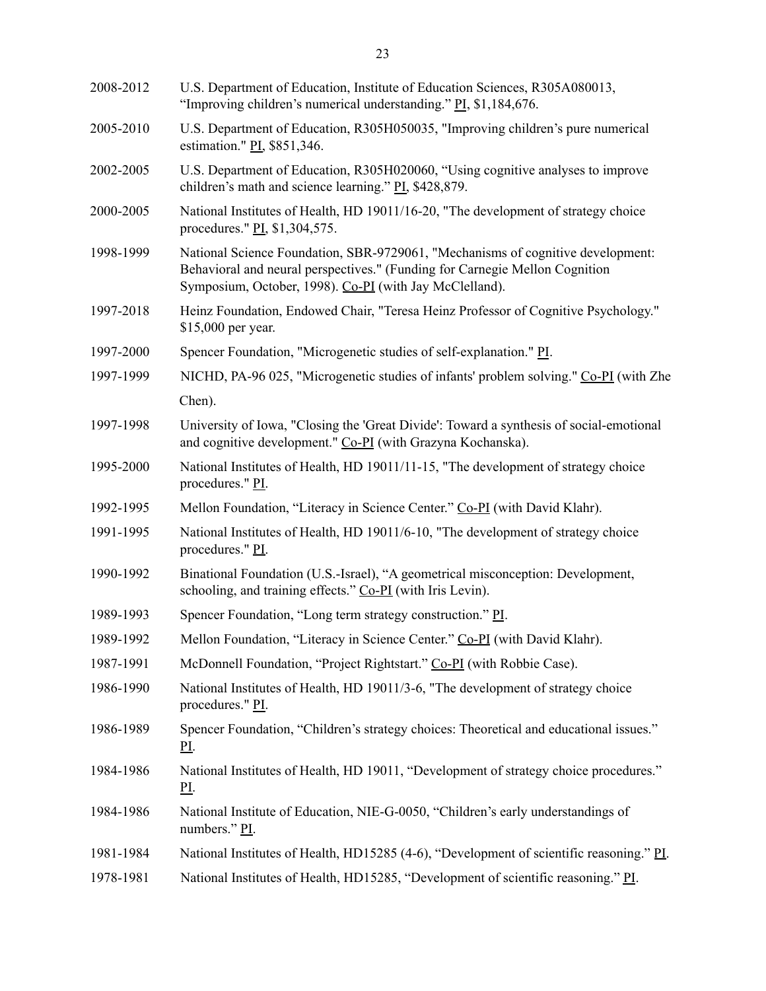| 2008-2012 | U.S. Department of Education, Institute of Education Sciences, R305A080013,<br>"Improving children's numerical understanding." PI, \$1,184,676.                                                                           |
|-----------|---------------------------------------------------------------------------------------------------------------------------------------------------------------------------------------------------------------------------|
| 2005-2010 | U.S. Department of Education, R305H050035, "Improving children's pure numerical<br>estimation." PI, \$851,346.                                                                                                            |
| 2002-2005 | U.S. Department of Education, R305H020060, "Using cognitive analyses to improve<br>children's math and science learning." PI, \$428,879.                                                                                  |
| 2000-2005 | National Institutes of Health, HD 19011/16-20, "The development of strategy choice<br>procedures." PI, \$1,304,575.                                                                                                       |
| 1998-1999 | National Science Foundation, SBR-9729061, "Mechanisms of cognitive development:<br>Behavioral and neural perspectives." (Funding for Carnegie Mellon Cognition<br>Symposium, October, 1998). Co-PI (with Jay McClelland). |
| 1997-2018 | Heinz Foundation, Endowed Chair, "Teresa Heinz Professor of Cognitive Psychology."<br>\$15,000 per year.                                                                                                                  |
| 1997-2000 | Spencer Foundation, "Microgenetic studies of self-explanation." PI.                                                                                                                                                       |
| 1997-1999 | NICHD, PA-96 025, "Microgenetic studies of infants' problem solving." Co-PI (with Zhe                                                                                                                                     |
|           | Chen).                                                                                                                                                                                                                    |
| 1997-1998 | University of Iowa, "Closing the 'Great Divide': Toward a synthesis of social-emotional<br>and cognitive development." Co-PI (with Grazyna Kochanska).                                                                    |
| 1995-2000 | National Institutes of Health, HD 19011/11-15, "The development of strategy choice<br>procedures." PI.                                                                                                                    |
| 1992-1995 | Mellon Foundation, "Literacy in Science Center." Co-PI (with David Klahr).                                                                                                                                                |
| 1991-1995 | National Institutes of Health, HD 19011/6-10, "The development of strategy choice<br>procedures." PI.                                                                                                                     |
| 1990-1992 | Binational Foundation (U.S.-Israel), "A geometrical misconception: Development,<br>schooling, and training effects." Co-PI (with Iris Levin).                                                                             |
| 1989-1993 | Spencer Foundation, "Long term strategy construction." PI.                                                                                                                                                                |
| 1989-1992 | Mellon Foundation, "Literacy in Science Center." Co-PI (with David Klahr).                                                                                                                                                |
| 1987-1991 | McDonnell Foundation, "Project Rightstart." Co-PI (with Robbie Case).                                                                                                                                                     |
| 1986-1990 | National Institutes of Health, HD 19011/3-6, "The development of strategy choice<br>procedures." PI.                                                                                                                      |
| 1986-1989 | Spencer Foundation, "Children's strategy choices: Theoretical and educational issues."<br><u>PI</u> .                                                                                                                     |
| 1984-1986 | National Institutes of Health, HD 19011, "Development of strategy choice procedures."<br><u>PI</u> .                                                                                                                      |
| 1984-1986 | National Institute of Education, NIE-G-0050, "Children's early understandings of<br>numbers." $\underline{PI}$ .                                                                                                          |
| 1981-1984 | National Institutes of Health, HD15285 (4-6), "Development of scientific reasoning." PL                                                                                                                                   |
| 1978-1981 | National Institutes of Health, HD15285, "Development of scientific reasoning." PI.                                                                                                                                        |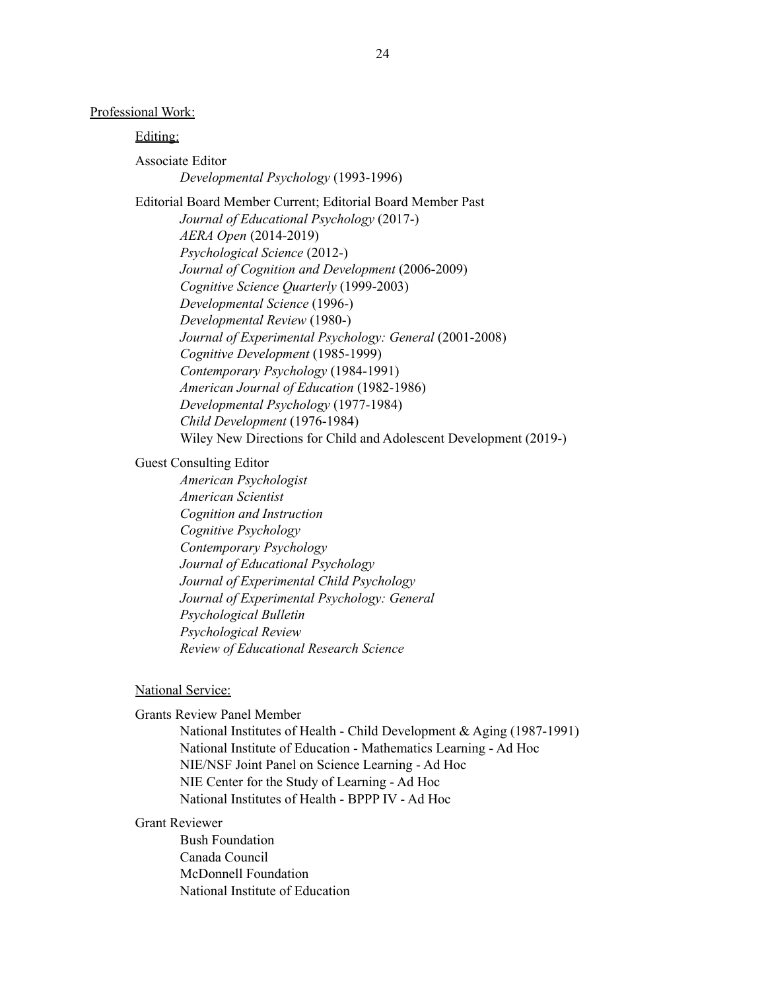Professional Work:

Editing:

Associate Editor

*Developmental Psychology* (1993-1996)

Editorial Board Member Current; Editorial Board Member Past *Journal of Educational Psychology* (2017-) *AERA Open* (2014-2019) *Psychological Science* (2012-) *Journal of Cognition and Development* (2006-2009) *Cognitive Science Quarterly* (1999-2003) *Developmental Science* (1996-) *Developmental Review* (1980-) *Journal of Experimental Psychology: General* (2001-2008) *Cognitive Development* (1985-1999) *Contemporary Psychology* (1984-1991) *American Journal of Education* (1982-1986) *Developmental Psychology* (1977-1984) *Child Development* (1976-1984) Wiley New Directions for Child and Adolescent Development (2019-)

# Guest Consulting Editor

*American Psychologist American Scientist Cognition and Instruction Cognitive Psychology Contemporary Psychology Journal of Educational Psychology Journal of Experimental Child Psychology Journal of Experimental Psychology: General Psychological Bulletin Psychological Review Review of Educational Research Science*

# National Service:

Grants Review Panel Member

National Institutes of Health - Child Development & Aging (1987-1991) National Institute of Education - Mathematics Learning - Ad Hoc NIE/NSF Joint Panel on Science Learning - Ad Hoc NIE Center for the Study of Learning - Ad Hoc National Institutes of Health - BPPP IV - Ad Hoc

# Grant Reviewer

Bush Foundation Canada Council McDonnell Foundation National Institute of Education